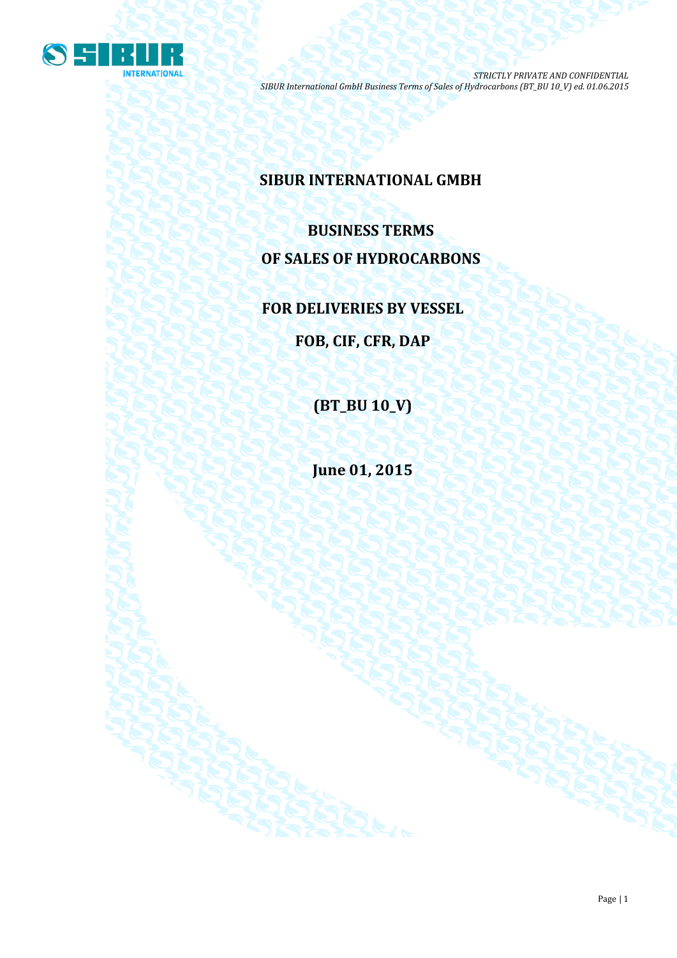

## **SIBUR INTERNATIONAL GMBH**

# **BUSINESS TERMS OF SALES OF HYDROCARBONS**

**FOR DELIVERIES BY VESSEL**

**FOB, CIF, CFR, DAP**

**(BT\_BU 10\_V)**

**June 01, 2015**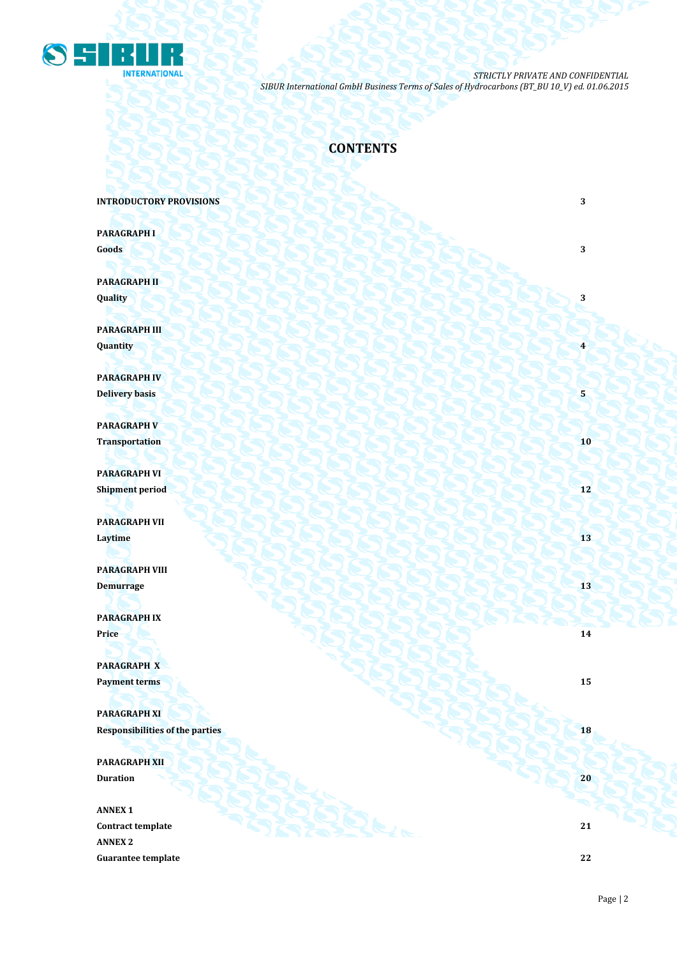

## **CONTENTS**

#### **INTRODUCTORY PROVISIONS** 3

**PARAGRAPH I Goods 3 3** 

**PARAGRAPH II Quality 3**

**PARAGRAPH III Quantity 1999 • 1999 • 1999 • 1999 • 1999 • 1999 • 1999 • 1999 • 1999 • 1999 • 1999 • 1999 • 1999 • 1999 • 1999 • 1999 • 1999 • 1999 • 1999 • 1999 • 1999 • 1999 • 1999 • 1999 • 1999 • 1999 • 1999 • 1999 • 1999 • 1999 •** 

**PARAGRAPH IV Delivery basis 5** 

**PARAGRAPH V Transportation 10** 

**PARAGRAPH VI Shipment period 12**

**PARAGRAPH VII Laytime 13**

**PARAGRAPH VIII Demurrage 13 13** 

**PARAGRAPH IX Price 14** *Price* **14** *Price* **14** 

**PARAGRAPH X Payment terms 15** 

**PARAGRAPH XI Responsibilities of the parties 18** 

**PARAGRAPH XII Duration 20** 

**ANNEX 1 Contract template 21 ANNEX 2 Guarantee template 22**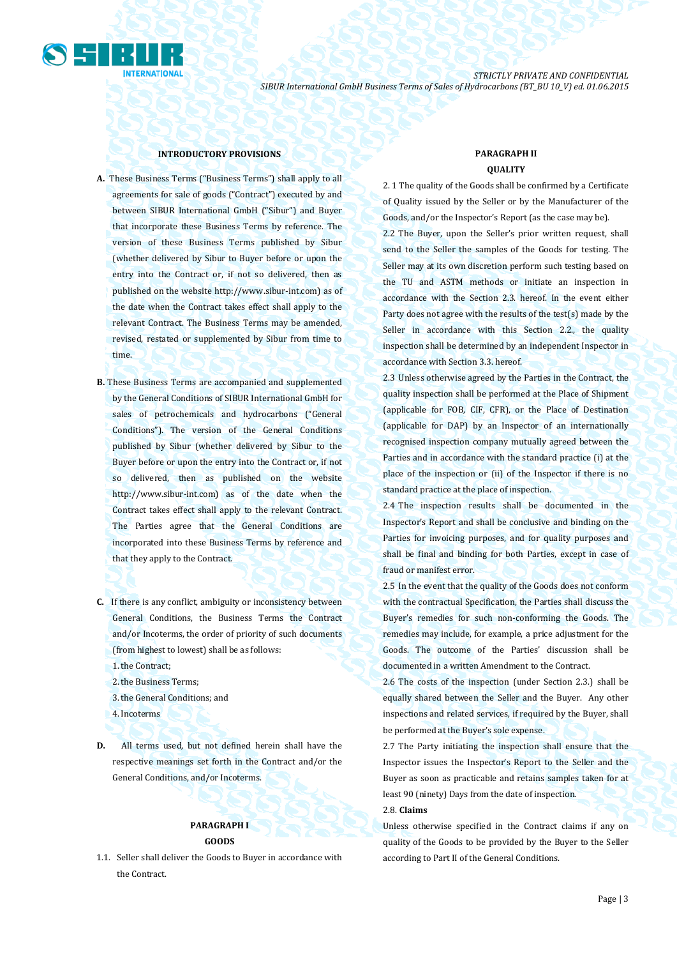

#### **INTRODUCTORY PROVISIONS**

- **A.** These Business Terms ("Business Terms") shall apply to all agreements for sale of goods ("Contract") executed by and between SIBUR International GmbH ("Sibur") and Buyer that incorporate these Business Terms by reference. The version of these Business Terms published by Sibur (whether delivered by Sibur to Buyer before or upon the entry into the Contract or, if not so delivered, then as published on the website [http://www.sibur-int.com\)](http://www.sibur-int.com/) as of the date when the Contract takes effect shall apply to the relevant Contract. The Business Terms may be amended, revised, restated or supplemented by Sibur from time to time.
- **B.** These Business Terms are accompanied and supplemented by the General Conditions of SIBUR International GmbH for sales of petrochemicals and hydrocarbons ("General Conditions"). The version of the General Conditions published by Sibur (whether delivered by Sibur to the Buyer before or upon the entry into the Contract or, if not so delivered, then as published on the website [http://www.sibur-int.com\)](http://www.sibur-int.com/) as of the date when the Contract takes effect shall apply to the relevant Contract. The Parties agree that the General Conditions are incorporated into these Business Terms by reference and that they apply to the Contract.
- **C.** If there is any conflict, ambiguity or inconsistency between General Conditions, the Business Terms the Contract and/or Incoterms, the order of priority of such documents (from highest to lowest) shall be as follows:
	- 1.the Contract;
	- 2.the Business Terms;
	- 3.the General Conditions; and
	- 4.Incoterms

**D.** All terms used, but not defined herein shall have the respective meanings set forth in the Contract and/or the General Conditions, and/or Incoterms.

### **PARAGRAPH I GOODS**

1.1. Seller shall deliver the Goods to Buyer in accordance with the Contract.

## **PARAGRAPH II**

### **QUALITY**

2. 1 The quality of the Goods shall be confirmed by a Certificate of Quality issued by the Seller or by the Manufacturer of the Goods, and/or the Inspector's Report (as the case may be). 2.2 The Buyer, upon the Seller's prior written request, shall send to the Seller the samples of the Goods for testing. The Seller may at its own discretion perform such testing based on the TU and ASTM methods or initiate an inspection in accordance with the Section 2.3. hereof. In the event either Party does not agree with the results of the test(s) made by the Seller in accordance with this Section 2.2., the quality inspection shall be determined by an independent Inspector in accordance with Section 3.3. hereof.

2.3 Unless otherwise agreed by the Parties in the Contract, the quality inspection shall be performed at the Place of Shipment (applicable for FOB, CIF, CFR), or the Place of Destination (applicable for DAP) by an Inspector of an internationally recognised inspection company mutually agreed between the Parties and in accordance with the standard practice (i) at the place of the inspection or (ii) of the Inspector if there is no standard practice at the place of inspection.

2.4 The inspection results shall be documented in the Inspector's Report and shall be conclusive and binding on the Parties for invoicing purposes, and for quality purposes and shall be final and binding for both Parties, except in case of fraud or manifest error.

2.5 In the event that the quality of the Goods does not conform with the contractual Specification, the Parties shall discuss the Buyer's remedies for such non-conforming the Goods. The remedies may include, for example, a price adjustment for the Goods. The outcome of the Parties' discussion shall be documented in a written Amendment to the Contract.

2.6 The costs of the inspection (under Section 2.3.) shall be equally shared between the Seller and the Buyer. Any other inspections and related services, if required by the Buyer, shall be performed at the Buyer's sole expense.

2.7 The Party initiating the inspection shall ensure that the Inspector issues the Inspector's Report to the Seller and the Buyer as soon as practicable and retains samples taken for at least 90 (ninety) Days from the date of inspection. 2.8. **Claims** 

Unless otherwise specified in the Contract claims if any on quality of the Goods to be provided by the Buyer to the Seller according to Part II of the General Conditions.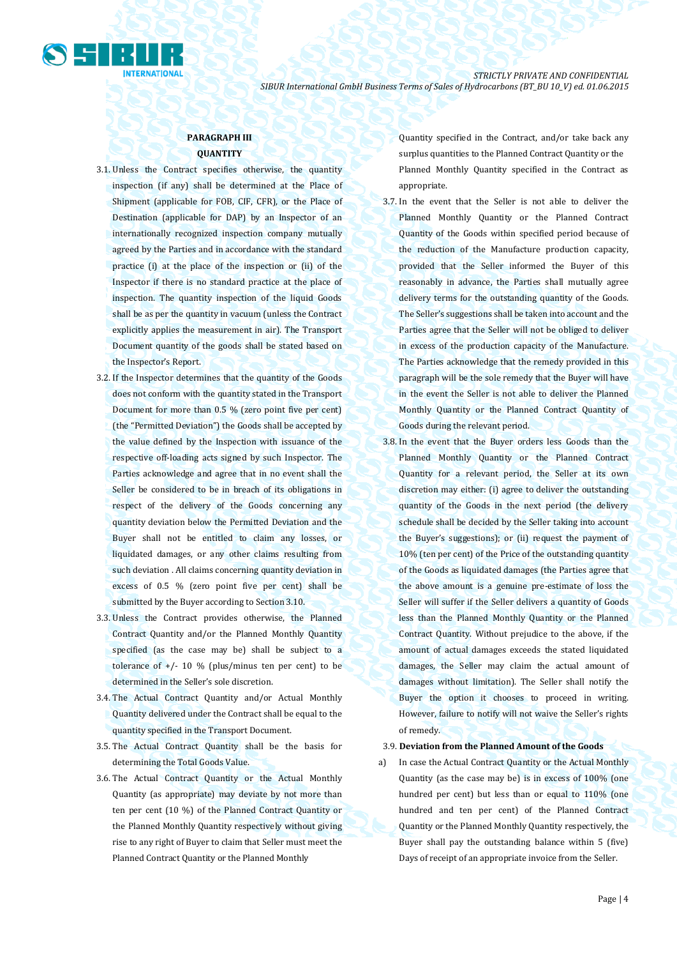

### **PARAGRAPH III QUANTITY**

- 3.1. Unless the Contract specifies otherwise, the quantity inspection (if any) shall be determined at the Place of Shipment (applicable for FOB, CIF, CFR), or the Place of Destination (applicable for DAP) by an Inspector of an internationally recognized inspection company mutually agreed by the Parties and in accordance with the standard practice (i) at the place of the inspection or (ii) of the Inspector if there is no standard practice at the place of inspection. The quantity inspection of the liquid Goods shall be as per the quantity in vacuum (unless the Contract explicitly applies the measurement in air). The Transport Document quantity of the goods shall be stated based on the Inspector's Report.
- 3.2. If the Inspector determines that the quantity of the Goods does not conform with the quantity stated in the Transport Document for more than 0.5 % (zero point five per cent) (the "Permitted Deviation") the Goods shall be accepted by the value defined by the Inspection with issuance of the respective off-loading acts signed by such Inspector. The Parties acknowledge and agree that in no event shall the Seller be considered to be in breach of its obligations in respect of the delivery of the Goods concerning any quantity deviation below the Permitted Deviation and the Buyer shall not be entitled to claim any losses, or liquidated damages, or any other claims resulting from such deviation . All claims concerning quantity deviation in excess of 0.5 % (zero point five per cent) shall be submitted by the Buyer according to Section 3.10.
- 3.3. Unless the Contract provides otherwise, the Planned Contract Quantity and/or the Planned Monthly Quantity specified (as the case may be) shall be subject to a tolerance of  $+/$ - 10 % (plus/minus ten per cent) to be determined in the Seller's sole discretion.
- 3.4. The Actual Contract Quantity and/or Actual Monthly Quantity delivered under the Contract shall be equal to the quantity specified in the Transport Document.
- 3.5. The Actual Contract Quantity shall be the basis for determining the Total Goods Value.
- 3.6. The Actual Contract Quantity or the Actual Monthly Quantity (as appropriate) may deviate by not more than ten per cent (10 %) of the Planned Contract Quantity or the Planned Monthly Quantity respectively without giving rise to any right of Buyer to claim that Seller must meet the Planned Contract Quantity or the Planned Monthly

Quantity specified in the Contract, and/or take back any surplus quantities to the Planned Contract Quantity or the Planned Monthly Quantity specified in the Contract as appropriate.

- 3.7. In the event that the Seller is not able to deliver the Planned Monthly Quantity or the Planned Contract Quantity of the Goods within specified period because of the reduction of the Manufacture production capacity, provided that the Seller informed the Buyer of this reasonably in advance, the Parties shall mutually agree delivery terms for the outstanding quantity of the Goods. The Seller's suggestions shall be taken into account and the Parties agree that the Seller will not be obliged to deliver in excess of the production capacity of the Manufacture. The Parties acknowledge that the remedy provided in this paragraph will be the sole remedy that the Buyer will have in the event the Seller is not able to deliver the Planned Monthly Quantity or the Planned Contract Quantity of Goods during the relevant period.
- 3.8. In the event that the Buyer orders less Goods than the Planned Monthly Quantity or the Planned Contract Quantity for a relevant period, the Seller at its own discretion may either: (i) agree to deliver the outstanding quantity of the Goods in the next period (the delivery schedule shall be decided by the Seller taking into account the Buyer's suggestions); or (ii) request the payment of 10% (ten per cent) of the Price of the outstanding quantity of the Goods as liquidated damages (the Parties agree that the above amount is a genuine pre-estimate of loss the Seller will suffer if the Seller delivers a quantity of Goods less than the Planned Monthly Quantity or the Planned Contract Quantity. Without prejudice to the above, if the amount of actual damages exceeds the stated liquidated damages, the Seller may claim the actual amount of damages without limitation). The Seller shall notify the Buyer the option it chooses to proceed in writing. However, failure to notify will not waive the Seller's rights of remedy.

#### 3.9. **Deviation from the Planned Amount of the Goods**

a) In case the Actual Contract Quantity or the Actual Monthly Quantity (as the case may be) is in excess of 100% (one hundred per cent) but less than or equal to 110% (one hundred and ten per cent) of the Planned Contract Quantity or the Planned Monthly Quantity respectively, the Buyer shall pay the outstanding balance within 5 (five) Days of receipt of an appropriate invoice from the Seller.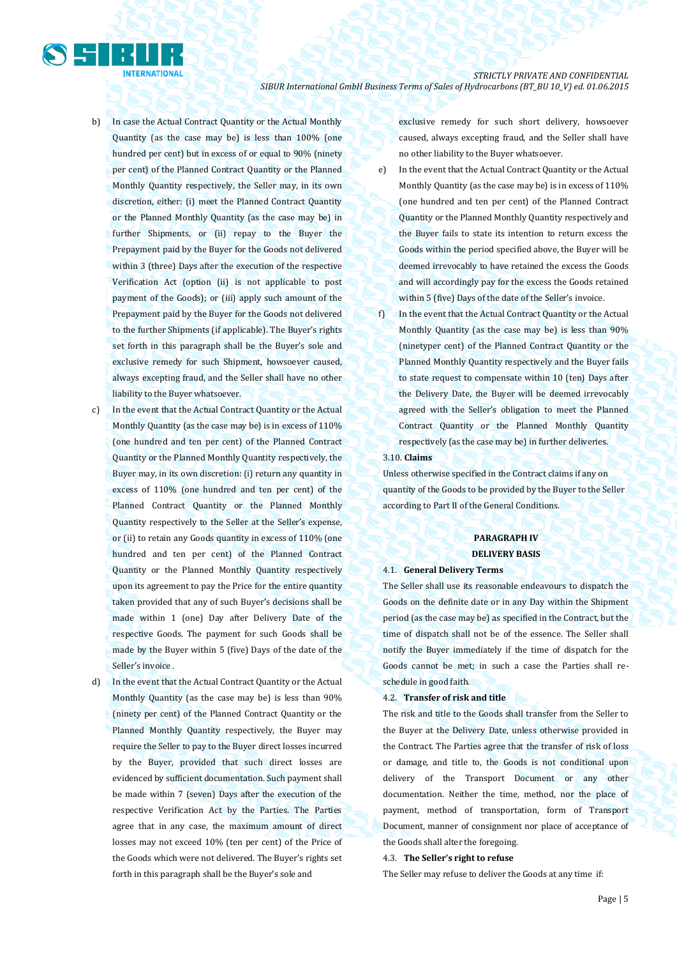- b) In case the Actual Contract Quantity or the Actual Monthly Quantity (as the case may be) is less than 100% (one hundred per cent) but in excess of or equal to 90% (ninety per cent) of the Planned Contract Quantity or the Planned Monthly Quantity respectively, the Seller may, in its own discretion, either: (i) meet the Planned Contract Quantity or the Planned Monthly Quantity (as the case may be) in further Shipments, or (ii) repay to the Buyer the Prepayment paid by the Buyer for the Goods not delivered within 3 (three) Days after the execution of the respective Verification Act (option (ii) is not applicable to post payment of the Goods); or (iii) apply such amount of the Prepayment paid by the Buyer for the Goods not delivered to the further Shipments (if applicable). The Buyer's rights set forth in this paragraph shall be the Buyer's sole and exclusive remedy for such Shipment, howsoever caused, always excepting fraud, and the Seller shall have no other liability to the Buyer whatsoever.
- c) In the event that the Actual Contract Quantity or the Actual Monthly Quantity (as the case may be) is in excess of 110% (one hundred and ten per cent) of the Planned Contract Quantity or the Planned Monthly Quantity respectively, the Buyer may, in its own discretion: (i) return any quantity in excess of 110% (one hundred and ten per cent) of the Planned Contract Quantity or the Planned Monthly Quantity respectively to the Seller at the Seller's expense, or (ii) to retain any Goods quantity in excess of 110% (one hundred and ten per cent) of the Planned Contract Quantity or the Planned Monthly Quantity respectively upon its agreement to pay the Price for the entire quantity taken provided that any of such Buyer's decisions shall be made within 1 (one) Day after Delivery Date of the respective Goods. The payment for such Goods shall be made by the Buyer within 5 (five) Days of the date of the Seller's invoice .
- d) In the event that the Actual Contract Quantity or the Actual Monthly Quantity (as the case may be) is less than 90% (ninety per cent) of the Planned Contract Quantity or the Planned Monthly Quantity respectively, the Buyer may require the Seller to pay to the Buyer direct losses incurred by the Buyer, provided that such direct losses are evidenced by sufficient documentation. Such payment shall be made within 7 (seven) Days after the execution of the respective Verification Act by the Parties. The Parties agree that in any case, the maximum amount of direct losses may not exceed 10% (ten per cent) of the Price of the Goods which were not delivered. The Buyer's rights set forth in this paragraph shall be the Buyer's sole and

exclusive remedy for such short delivery, howsoever caused, always excepting fraud, and the Seller shall have no other liability to the Buyer whatsoever.

- e) In the event that the Actual Contract Quantity or the Actual Monthly Quantity (as the case may be) is in excess of 110% (one hundred and ten per cent) of the Planned Contract Quantity or the Planned Monthly Quantity respectively and the Buyer fails to state its intention to return excess the Goods within the period specified above, the Buyer will be deemed irrevocably to have retained the excess the Goods and will accordingly pay for the excess the Goods retained within 5 (five) Days of the date of the Seller's invoice.
- f) In the event that the Actual Contract Quantity or the Actual Monthly Quantity (as the case may be) is less than 90% (ninetyper cent) of the Planned Contract Quantity or the Planned Monthly Quantity respectively and the Buyer fails to state request to compensate within 10 (ten) Days after the Delivery Date, the Buyer will be deemed irrevocably agreed with the Seller's obligation to meet the Planned Contract Quantity or the Planned Monthly Quantity respectively (as the case may be) in further deliveries.

### 3.10. **Claims**

Unless otherwise specified in the Contract claims if any on quantity of the Goods to be provided by the Buyer to the Seller according to Part II of the General Conditions.

## **PARAGRAPH IV DELIVERY BASIS**

#### 4.1. **General Delivery Terms**

The Seller shall use its reasonable endeavours to dispatch the Goods on the definite date or in any Day within the Shipment period (as the case may be) as specified in the Contract, but the time of dispatch shall not be of the essence. The Seller shall notify the Buyer immediately if the time of dispatch for the Goods cannot be met; in such a case the Parties shall reschedule in good faith.

#### 4.2. **Transfer of risk and title**

The risk and title to the Goods shall transfer from the Seller to the Buyer at the Delivery Date, unless otherwise provided in the Contract. The Parties agree that the transfer of risk of loss or damage, and title to, the Goods is not conditional upon delivery of the Transport Document or any other documentation. Neither the time, method, nor the place of payment, method of transportation, form of Transport Document, manner of consignment nor place of acceptance of the Goods shall alter the foregoing.

#### 4.3. **The Seller's right to refuse**

The Seller may refuse to deliver the Goods at any time if: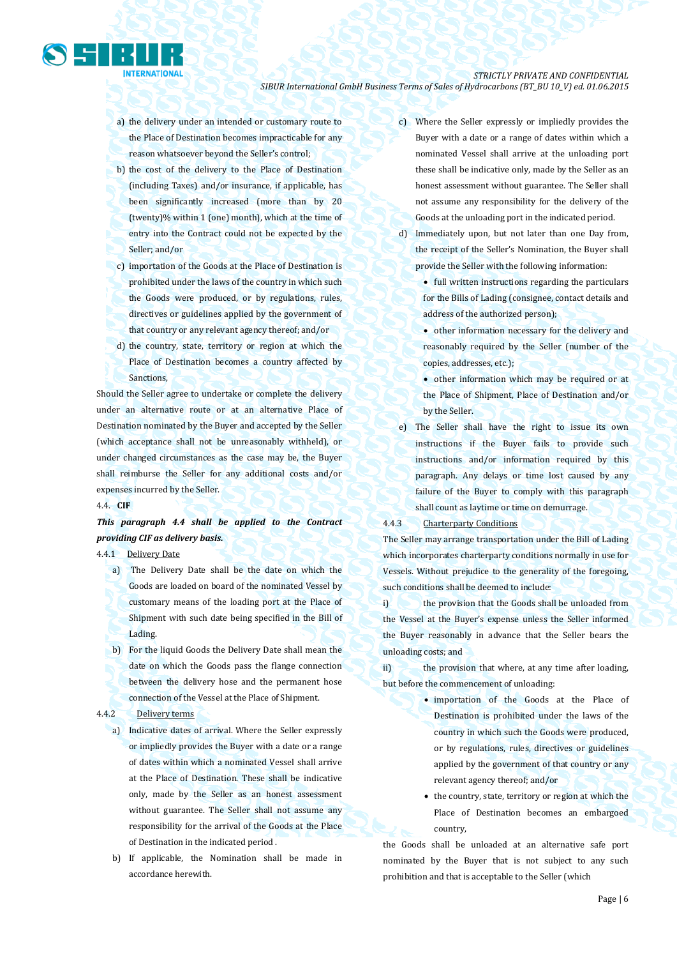

- a) the delivery under an intended or customary route to the Place of Destination becomes impracticable for any reason whatsoever beyond the Seller's control;
- b) the cost of the delivery to the Place of Destination (including Taxes) and/or insurance, if applicable, has been significantly increased (more than by 20 (twenty)% within 1 (one) month), which at the time of entry into the Contract could not be expected by the Seller; and/or
- c) importation of the Goods at the Place of Destination is prohibited under the laws of the country in which such the Goods were produced, or by regulations, rules, directives or guidelines applied by the government of that country or any relevant agency thereof; and/or
- d) the country, state, territory or region at which the Place of Destination becomes a country affected by Sanctions,

Should the Seller agree to undertake or complete the delivery under an alternative route or at an alternative Place of Destination nominated by the Buyer and accepted by the Seller (which acceptance shall not be unreasonably withheld), or under changed circumstances as the case may be, the Buyer shall reimburse the Seller for any additional costs and/or expenses incurred by the Seller.

#### 4.4. **CIF**

*This paragraph 4.4 shall be applied to the Contract providing CIF as delivery basis.*

### 4.4.1Delivery Date

- a) The Delivery Date shall be the date on which the Goods are loaded on board of the nominated Vessel by customary means of the loading port at the Place of Shipment with such date being specified in the Bill of Lading.
- b) For the liquid Goods the Delivery Date shall mean the date on which the Goods pass the flange connection between the delivery hose and the permanent hose connection of the Vessel at the Place of Shipment.

#### 4.4.2 Delivery terms

- a) Indicative dates of arrival. Where the Seller expressly or impliedly provides the Buyer with a date or a range of dates within which a nominated Vessel shall arrive at the Place of Destination. These shall be indicative only, made by the Seller as an honest assessment without guarantee. The Seller shall not assume any responsibility for the arrival of the Goods at the Place of Destination in the indicated period .
- b) If applicable, the Nomination shall be made in accordance herewith.
- c) Where the Seller expressly or impliedly provides the Buyer with a date or a range of dates within which a nominated Vessel shall arrive at the unloading port these shall be indicative only, made by the Seller as an honest assessment without guarantee. The Seller shall not assume any responsibility for the delivery of the Goods at the unloading port in the indicated period.
- d) Immediately upon, but not later than one Day from, the receipt of the Seller's Nomination, the Buyer shall provide the Seller with the following information:

• full written instructions regarding the particulars for the Bills of Lading (consignee, contact details and address of the authorized person);

 other information necessary for the delivery and reasonably required by the Seller (number of the copies, addresses, etc.);

 other information which may be required or at the Place of Shipment, Place of Destination and/or by the Seller.

e) The Seller shall have the right to issue its own instructions if the Buyer fails to provide such instructions and/or information required by this paragraph. Any delays or time lost caused by any failure of the Buyer to comply with this paragraph shall count as laytime or time on demurrage.

4.4.3 Charterparty Conditions

The Seller may arrange transportation under the Bill of Lading which incorporates charterparty conditions normally in use for Vessels. Without prejudice to the generality of the foregoing, such conditions shall be deemed to include:

i) the provision that the Goods shall be unloaded from the Vessel at the Buyer's expense unless the Seller informed the Buyer reasonably in advance that the Seller bears the unloading costs; and

ii) the provision that where, at any time after loading, but before the commencement of unloading:

- importation of the Goods at the Place of Destination is prohibited under the laws of the country in which such the Goods were produced, or by regulations, rules, directives or guidelines applied by the government of that country or any relevant agency thereof; and/or
- the country, state, territory or region at which the Place of Destination becomes an embargoed country,

the Goods shall be unloaded at an alternative safe port nominated by the Buyer that is not subject to any such prohibition and that is acceptable to the Seller (which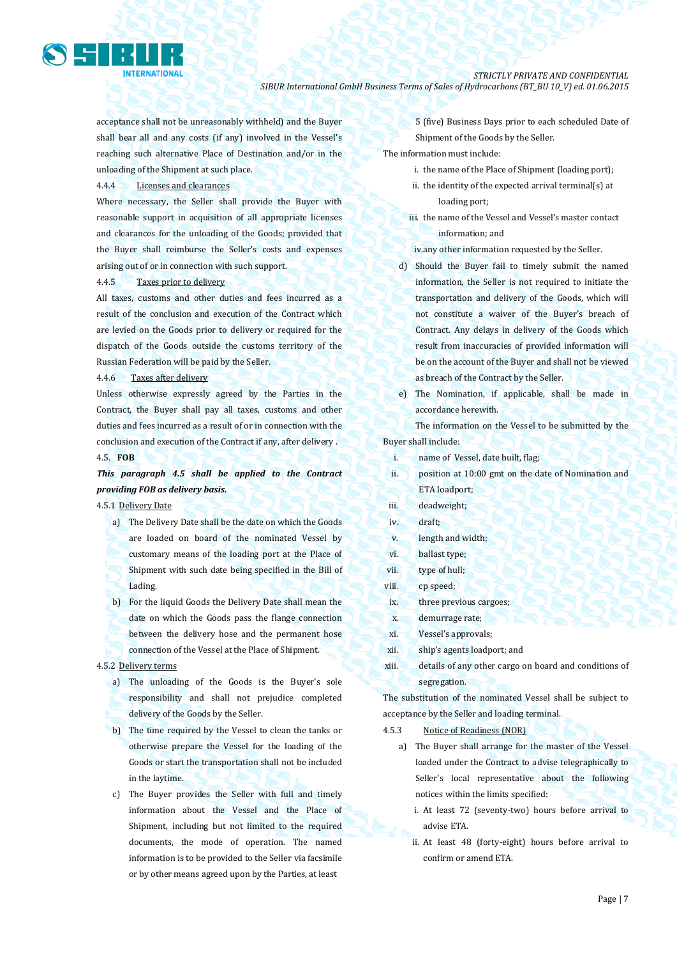

acceptance shall not be unreasonably withheld) and the Buyer shall bear all and any costs (if any) involved in the Vessel's reaching such alternative Place of Destination and/or in the unloading of the Shipment at such place.

### 4.4.4 Licenses and clearances

Where necessary, the Seller shall provide the Buyer with reasonable support in acquisition of all appropriate licenses and clearances for the unloading of the Goods; provided that the Buyer shall reimburse the Seller's costs and expenses arising out of or in connection with such support.

#### 4.4.5 Taxes prior to delivery

All taxes, customs and other duties and fees incurred as a result of the conclusion and execution of the Contract which are levied on the Goods prior to delivery or required for the dispatch of the Goods outside the customs territory of the Russian Federation will be paid by the Seller.

#### 4.4.6 Taxes after delivery

Unless otherwise expressly agreed by the Parties in the Contract, the Buyer shall pay all taxes, customs and other duties and fees incurred as a result of or in connection with the conclusion and execution of the Contract if any, after delivery . 4.5. **FOB**

### *This paragraph 4.5 shall be applied to the Contract providing FOB as delivery basis.*

#### 4.5.1 Delivery Date

- a) The Delivery Date shall be the date on which the Goods are loaded on board of the nominated Vessel by customary means of the loading port at the Place of Shipment with such date being specified in the Bill of Lading.
- b) For the liquid Goods the Delivery Date shall mean the date on which the Goods pass the flange connection between the delivery hose and the permanent hose connection of the Vessel at the Place of Shipment.

#### 4.5.2 Delivery terms

- a) The unloading of the Goods is the Buyer's sole responsibility and shall not prejudice completed delivery of the Goods by the Seller.
- b) The time required by the Vessel to clean the tanks or otherwise prepare the Vessel for the loading of the Goods or start the transportation shall not be included in the laytime.
- c) The Buyer provides the Seller with full and timely information about the Vessel and the Place of Shipment, including but not limited to the required documents, the mode of operation. The named information is to be provided to the Seller via facsimile or by other means agreed upon by the Parties, at least

5 (five) Business Days prior to each scheduled Date of Shipment of the Goods by the Seller.

The information must include:

- i. the name of the Place of Shipment (loading port);
- ii. the identity of the expected arrival terminal(s) at loading port;
- iii. the name of the Vessel and Vessel's master contact information; and
- iv.any other information requested by the Seller.
- d) Should the Buyer fail to timely submit the named information, the Seller is not required to initiate the transportation and delivery of the Goods, which will not constitute a waiver of the Buyer's breach of Contract. Any delays in delivery of the Goods which result from inaccuracies of provided information will be on the account of the Buyer and shall not be viewed as breach of the Contract by the Seller.
- e) The Nomination, if applicable, shall be made in accordance herewith.

The information on the Vessel to be submitted by the Buyer shall include:

- i. name of Vessel, date built, flag;
- ii. position at 10:00 gmt on the date of Nomination and ETA loadport;
- iii. deadweight;
- iv. draft;
- v. length and width;
- vi. ballast type;
- vii. type of hull;
- viii. cp speed;
- ix. three previous cargoes;
- x. demurrage rate;
- xi. Vessel's approvals;
- xii. ship's agents loadport; and
- xiii. details of any other cargo on board and conditions of segregation.

The substitution of the nominated Vessel shall be subject to acceptance by the Seller and loading terminal.

#### 4.5.3 Notice of Readiness (NOR)

- a) The Buyer shall arrange for the master of the Vessel loaded under the Contract to advise telegraphically to Seller's local representative about the following notices within the limits specified:
	- i. At least 72 (seventy-two) hours before arrival to advise ETA.
	- ii. At least 48 (forty-eight) hours before arrival to confirm or amend ETA.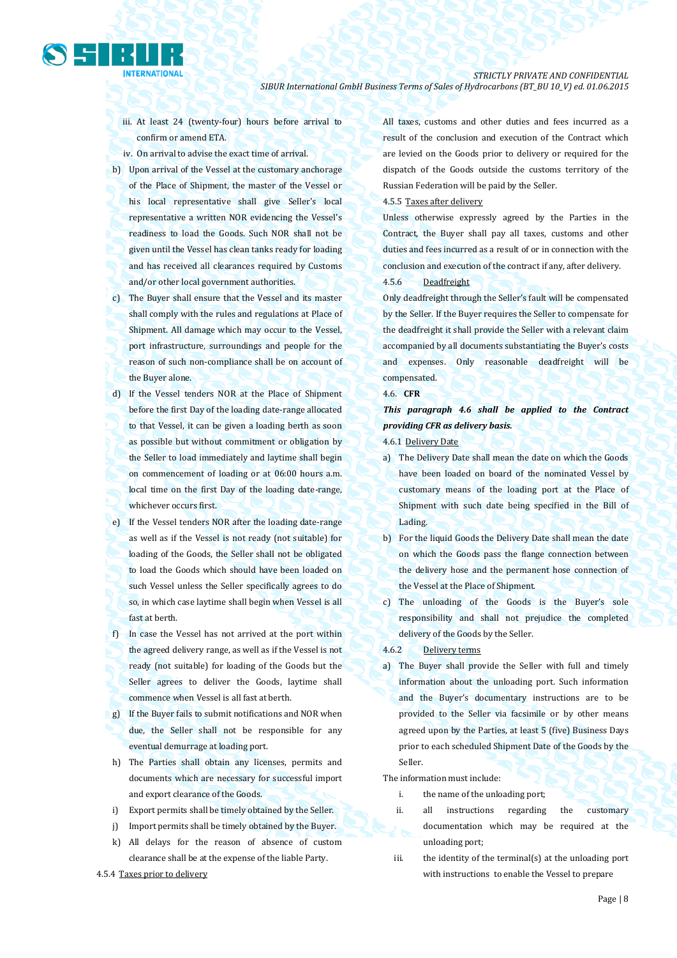- iii. At least 24 (twenty-four) hours before arrival to confirm or amend ETA.
- iv. On arrival to advise the exact time of arrival.
- b) Upon arrival of the Vessel at the customary anchorage of the Place of Shipment, the master of the Vessel or his local representative shall give Seller's local representative a written NOR evidencing the Vessel's readiness to load the Goods. Such NOR shall not be given until the Vessel has clean tanks ready for loading and has received all clearances required by Customs and/or other local government authorities.
- c) The Buyer shall ensure that the Vessel and its master shall comply with the rules and regulations at Place of Shipment. All damage which may occur to the Vessel, port infrastructure, surroundings and people for the reason of such non-compliance shall be on account of the Buyer alone.
- d) If the Vessel tenders NOR at the Place of Shipment before the first Day of the loading date-range allocated to that Vessel, it can be given a loading berth as soon as possible but without commitment or obligation by the Seller to load immediately and laytime shall begin on commencement of loading or at 06:00 hours a.m. local time on the first Day of the loading date-range, whichever occurs first.
- e) If the Vessel tenders NOR after the loading date-range as well as if the Vessel is not ready (not suitable) for loading of the Goods, the Seller shall not be obligated to load the Goods which should have been loaded on such Vessel unless the Seller specifically agrees to do so, in which case laytime shall begin when Vessel is all fast at berth.
- f) In case the Vessel has not arrived at the port within the agreed delivery range, as well as if the Vessel is not ready (not suitable) for loading of the Goods but the Seller agrees to deliver the Goods, laytime shall commence when Vessel is all fast at berth.
- g) If the Buyer fails to submit notifications and NOR when due, the Seller shall not be responsible for any eventual demurrage at loading port.
- h) The Parties shall obtain any licenses, permits and documents which are necessary for successful import and export clearance of the Goods.
- i) Export permits shall be timely obtained by the Seller.
- j) Import permits shall be timely obtained by the Buyer.
- k) All delays for the reason of absence of custom clearance shall be at the expense of the liable Party.

4.5.4 Taxes prior to delivery

All taxes, customs and other duties and fees incurred as a result of the conclusion and execution of the Contract which are levied on the Goods prior to delivery or required for the dispatch of the Goods outside the customs territory of the Russian Federation will be paid by the Seller.

### 4.5.5 Taxes after delivery

Unless otherwise expressly agreed by the Parties in the Contract, the Buyer shall pay all taxes, customs and other duties and fees incurred as a result of or in connection with the conclusion and execution of the contract if any, after delivery.

#### 4.5.6 Deadfreight

Only deadfreight through the Seller's fault will be compensated by the Seller. If the Buyer requires the Seller to compensate for the deadfreight it shall provide the Seller with a relevant claim accompanied by all documents substantiating the Buyer's costs and expenses. Only reasonable deadfreight will be compensated.

#### 4.6. **CFR**

*This paragraph 4.6 shall be applied to the Contract providing CFR as delivery basis.*

4.6.1 Delivery Date

- a) The Delivery Date shall mean the date on which the Goods have been loaded on board of the nominated Vessel by customary means of the loading port at the Place of Shipment with such date being specified in the Bill of Lading.
- b) For the liquid Goods the Delivery Date shall mean the date on which the Goods pass the flange connection between the delivery hose and the permanent hose connection of the Vessel at the Place of Shipment.
- c) The unloading of the Goods is the Buyer's sole responsibility and shall not prejudice the completed delivery of the Goods by the Seller.
- 4.6.2 Delivery terms
- a) The Buyer shall provide the Seller with full and timely information about the unloading port. Such information and the Buyer's documentary instructions are to be provided to the Seller via facsimile or by other means agreed upon by the Parties, at least 5 (five) Business Days prior to each scheduled Shipment Date of the Goods by the Seller.

The information must include:

- i. the name of the unloading port;
- ii. all instructions regarding the customary documentation which may be required at the unloading port;
- iii. the identity of the terminal(s) at the unloading port with instructions to enable the Vessel to prepare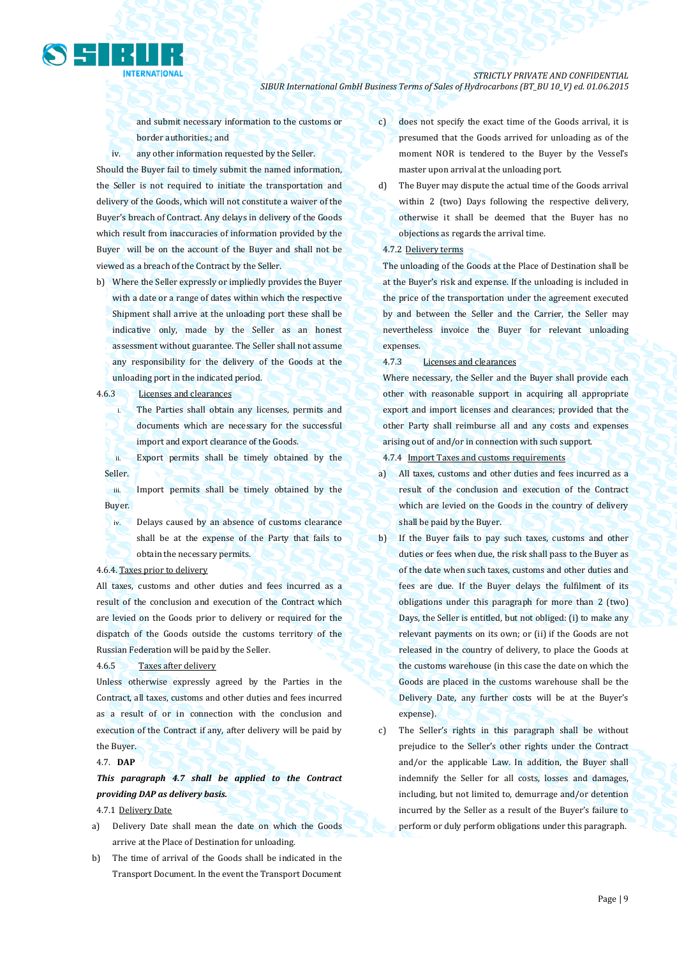

and submit necessary information to the customs or border authorities.; and

iv. any other information requested by the Seller. Should the Buyer fail to timely submit the named information, the Seller is not required to initiate the transportation and delivery of the Goods, which will not constitute a waiver of the Buyer's breach of Contract. Any delays in delivery of the Goods which result from inaccuracies of information provided by the Buyer will be on the account of the Buyer and shall not be viewed as a breach of the Contract by the Seller.

- b) Where the Seller expressly or impliedly provides the Buyer with a date or a range of dates within which the respective Shipment shall arrive at the unloading port these shall be indicative only, made by the Seller as an honest assessment without guarantee. The Seller shall not assume any responsibility for the delivery of the Goods at the unloading port in the indicated period.
- 4.6.3 Licenses and clearances
	- i. The Parties shall obtain any licenses, permits and documents which are necessary for the successful import and export clearance of the Goods.

ii. Export permits shall be timely obtained by the Seller.

iii. Import permits shall be timely obtained by the Buyer.

iv. Delays caused by an absence of customs clearance shall be at the expense of the Party that fails to obtain the necessary permits.

#### 4.6.4. Taxes prior to delivery

All taxes, customs and other duties and fees incurred as a result of the conclusion and execution of the Contract which are levied on the Goods prior to delivery or required for the dispatch of the Goods outside the customs territory of the Russian Federation will be paid by the Seller.

#### 4.6.5 Taxes after delivery

Unless otherwise expressly agreed by the Parties in the Contract, all taxes, customs and other duties and fees incurred as a result of or in connection with the conclusion and execution of the Contract if any, after delivery will be paid by the Buyer.

#### 4.7. **DAP**

*This paragraph 4.7 shall be applied to the Contract providing DAP as delivery basis.*

- 4.7.1 Delivery Date
- a) Delivery Date shall mean the date on which the Goods arrive at the Place of Destination for unloading.
- b) The time of arrival of the Goods shall be indicated in the Transport Document. In the event the Transport Document
- c) does not specify the exact time of the Goods arrival, it is presumed that the Goods arrived for unloading as of the moment NOR is tendered to the Buyer by the Vessel's master upon arrival at the unloading port.
- d) The Buyer may dispute the actual time of the Goods arrival within 2 (two) Days following the respective delivery, otherwise it shall be deemed that the Buyer has no objections as regards the arrival time.

### 4.7.2 Delivery terms

The unloading of the Goods at the Place of Destination shall be at the Buyer's risk and expense. If the unloading is included in the price of the transportation under the agreement executed by and between the Seller and the Carrier, the Seller may nevertheless invoice the Buyer for relevant unloading expenses.

4.7.3 Licenses and clearances

Where necessary, the Seller and the Buyer shall provide each other with reasonable support in acquiring all appropriate export and import licenses and clearances; provided that the other Party shall reimburse all and any costs and expenses arising out of and/or in connection with such support.

4.7.4 Import Taxes and customs requirements

- a) All taxes, customs and other duties and fees incurred as a result of the conclusion and execution of the Contract which are levied on the Goods in the country of delivery shall be paid by the Buyer.
- b) If the Buyer fails to pay such taxes, customs and other duties or fees when due, the risk shall pass to the Buyer as of the date when such taxes, customs and other duties and fees are due. If the Buyer delays the fulfilment of its obligations under this paragraph for more than 2 (two) Days, the Seller is entitled, but not obliged: (i) to make any relevant payments on its own; or (ii) if the Goods are not released in the country of delivery, to place the Goods at the customs warehouse (in this case the date on which the Goods are placed in the customs warehouse shall be the Delivery Date, any further costs will be at the Buyer's expense).

c) The Seller's rights in this paragraph shall be without prejudice to the Seller's other rights under the Contract and/or the applicable Law. In addition, the Buyer shall indemnify the Seller for all costs, losses and damages, including, but not limited to, demurrage and/or detention incurred by the Seller as a result of the Buyer's failure to perform or duly perform obligations under this paragraph.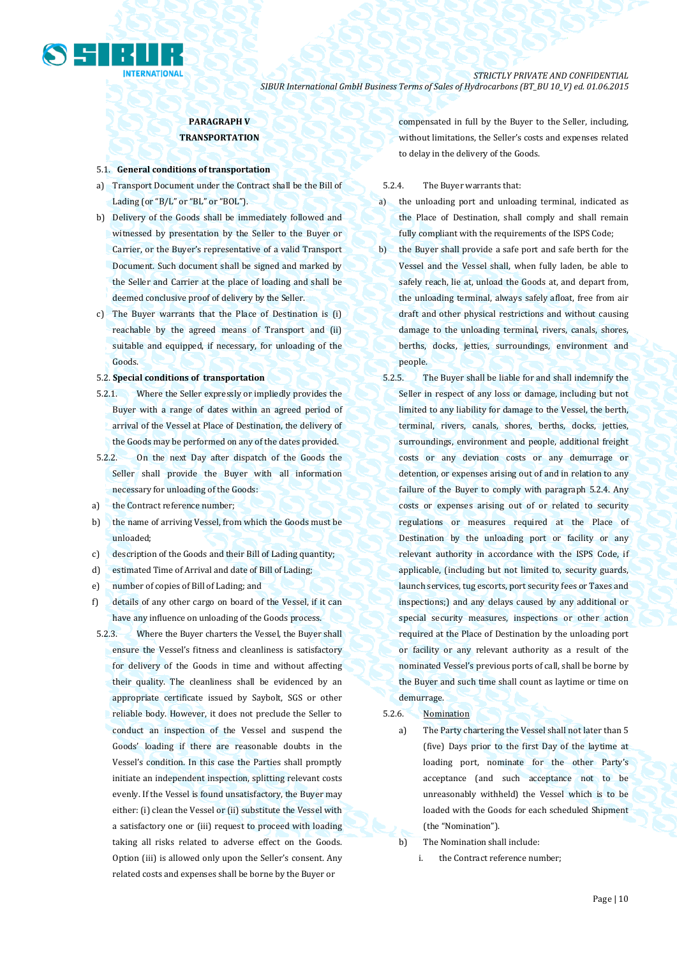

## **PARAGRAPH V TRANSPORTATION**

#### 5.1. **General conditions of transportation**

- a) Transport Document under the Contract shall be the Bill of Lading (or "B/L" or "BL" or "BOL").
- b) Delivery of the Goods shall be immediately followed and witnessed by presentation by the Seller to the Buyer or Carrier, or the Buyer's representative of a valid Transport Document. Such document shall be signed and marked by the Seller and Carrier at the place of loading and shall be deemed conclusive proof of delivery by the Seller.
- c) The Buyer warrants that the Place of Destination is (i) reachable by the agreed means of Transport and (ii) suitable and equipped, if necessary, for unloading of the Goods.

#### 5.2. **Special conditions of transportation**

- 5.2.1. Where the Seller expressly or impliedly provides the Buyer with a range of dates within an agreed period of arrival of the Vessel at Place of Destination, the delivery of the Goods may be performed on any of the dates provided.
- 5.2.2. On the next Day after dispatch of the Goods the Seller shall provide the Buyer with all information necessary for unloading of the Goods:
- a) the Contract reference number;
- b) the name of arriving Vessel, from which the Goods must be unloaded;
- c) description of the Goods and their Bill of Lading quantity;
- d) estimated Time of Arrival and date of Bill of Lading;
- e) number of copies of Bill of Lading; and
- f) details of any other cargo on board of the Vessel, if it can have any influence on unloading of the Goods process.
- 5.2.3. Where the Buyer charters the Vessel, the Buyer shall ensure the Vessel's fitness and cleanliness is satisfactory for delivery of the Goods in time and without affecting their quality. The cleanliness shall be evidenced by an appropriate certificate issued by Saybolt, SGS or other reliable body. However, it does not preclude the Seller to conduct an inspection of the Vessel and suspend the Goods' loading if there are reasonable doubts in the Vessel's condition. In this case the Parties shall promptly initiate an independent inspection, splitting relevant costs evenly. If the Vessel is found unsatisfactory, the Buyer may either: (i) clean the Vessel or (ii) substitute the Vessel with a satisfactory one or (iii) request to proceed with loading taking all risks related to adverse effect on the Goods. Option (iii) is allowed only upon the Seller's consent. Any related costs and expenses shall be borne by the Buyer or

compensated in full by the Buyer to the Seller, including, without limitations, the Seller's costs and expenses related to delay in the delivery of the Goods.

#### 5.2.4. The Buyer warrants that:

- a) the unloading port and unloading terminal, indicated as the Place of Destination, shall comply and shall remain fully compliant with the requirements of the ISPS Code;
- b) the Buyer shall provide a safe port and safe berth for the Vessel and the Vessel shall, when fully laden, be able to safely reach, lie at, unload the Goods at, and depart from, the unloading terminal, always safely afloat, free from air draft and other physical restrictions and without causing damage to the unloading terminal, rivers, canals, shores, berths, docks, jetties, surroundings, environment and people.
- 5.2.5. The Buyer shall be liable for and shall indemnify the Seller in respect of any loss or damage, including but not limited to any liability for damage to the Vessel, the berth, terminal, rivers, canals, shores, berths, docks, jetties, surroundings, environment and people, additional freight costs or any deviation costs or any demurrage or detention, or expenses arising out of and in relation to any failure of the Buyer to comply with paragraph 5.2.4. Any costs or expenses arising out of or related to security regulations or measures required at the Place of Destination by the unloading port or facility or any relevant authority in accordance with the ISPS Code, if applicable, (including but not limited to, security guards, launch services, tug escorts, port security fees or Taxes and inspections;) and any delays caused by any additional or special security measures, inspections or other action required at the Place of Destination by the unloading port or facility or any relevant authority as a result of the nominated Vessel's previous ports of call, shall be borne by the Buyer and such time shall count as laytime or time on demurrage.

#### 5.2.6. Nomination

a) The Party chartering the Vessel shall not later than 5 (five) Days prior to the first Day of the laytime at loading port, nominate for the other Party's acceptance (and such acceptance not to be unreasonably withheld) the Vessel which is to be loaded with the Goods for each scheduled Shipment (the "Nomination").

- b) The Nomination shall include:
	- i. the Contract reference number;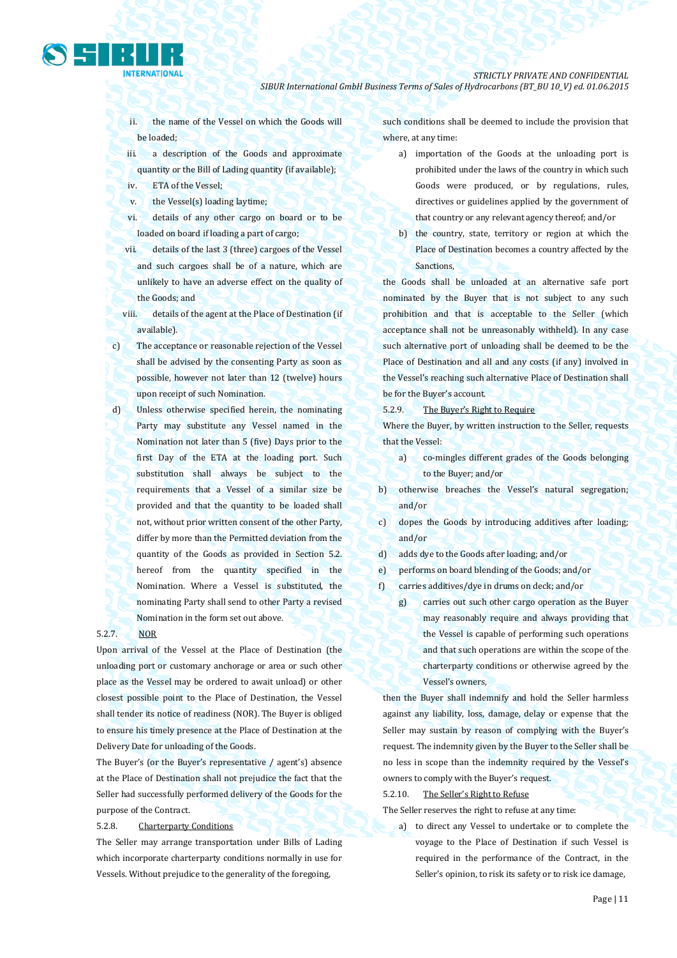ii. the name of the Vessel on which the Goods will be loaded;

iii. a description of the Goods and approximate quantity or the Bill of Lading quantity (if available);

- iv. ETA of the Vessel;
- v. the Vessel(s) loading laytime;
- vi. details of any other cargo on board or to be loaded on board if loading a part of cargo;
- vii. details of the last 3 (three) cargoes of the Vessel and such cargoes shall be of a nature, which are unlikely to have an adverse effect on the quality of the Goods; and
- viii. details of the agent at the Place of Destination (if available).
- c) The acceptance or reasonable rejection of the Vessel shall be advised by the consenting Party as soon as possible, however not later than 12 (twelve) hours upon receipt of such Nomination.
- d) Unless otherwise specified herein, the nominating Party may substitute any Vessel named in the Nomination not later than 5 (five) Days prior to the first Day of the ETA at the loading port. Such substitution shall always be subject to the requirements that a Vessel of a similar size be provided and that the quantity to be loaded shall not, without prior written consent of the other Party, differ by more than the Permitted deviation from the quantity of the Goods as provided in Section 5.2. hereof from the quantity specified in the Nomination. Where a Vessel is substituted, the nominating Party shall send to other Party a revised Nomination in the form set out above.

### 5.2.7. NOR

Upon arrival of the Vessel at the Place of Destination (the unloading port or customary anchorage or area or such other place as the Vessel may be ordered to await unload) or other closest possible point to the Place of Destination, the Vessel shall tender its notice of readiness (NOR). The Buyer is obliged to ensure his timely presence at the Place of Destination at the Delivery Date for unloading of the Goods.

The Buyer's (or the Buyer's representative / agent's) absence at the Place of Destination shall not prejudice the fact that the Seller had successfully performed delivery of the Goods for the purpose of the Contract.

### 5.2.8. Charterparty Conditions

The Seller may arrange transportation under Bills of Lading which incorporate charterparty conditions normally in use for Vessels. Without prejudice to the generality of the foregoing,

such conditions shall be deemed to include the provision that where, at any time:

- a) importation of the Goods at the unloading port is prohibited under the laws of the country in which such Goods were produced, or by regulations, rules, directives or guidelines applied by the government of that country or any relevant agency thereof; and/or
- b) the country, state, territory or region at which the Place of Destination becomes a country affected by the Sanctions,

the Goods shall be unloaded at an alternative safe port nominated by the Buyer that is not subject to any such prohibition and that is acceptable to the Seller (which acceptance shall not be unreasonably withheld). In any case such alternative port of unloading shall be deemed to be the Place of Destination and all and any costs (if any) involved in the Vessel's reaching such alternative Place of Destination shall be for the Buyer's account.

5.2.9. The Buyer's Right to Require

Where the Buyer, by written instruction to the Seller, requests that the Vessel:

- a) co-mingles different grades of the Goods belonging to the Buyer; and/or
- b) otherwise breaches the Vessel's natural segregation; and/or
- c) dopes the Goods by introducing additives after loading; and/or
- d) adds dye to the Goods after loading; and/or
- e) performs on board blending of the Goods; and/or
- f) carries additives/dye in drums on deck; and/or
	- g) carries out such other cargo operation as the Buyer may reasonably require and always providing that the Vessel is capable of performing such operations and that such operations are within the scope of the charterparty conditions or otherwise agreed by the Vessel's owners,

then the Buyer shall indemnify and hold the Seller harmless against any liability, loss, damage, delay or expense that the Seller may sustain by reason of complying with the Buyer's request. The indemnity given by the Buyer to the Seller shall be no less in scope than the indemnity required by the Vessel's owners to comply with the Buyer's request.

5.2.10. The Seller's Right to Refuse

The Seller reserves the right to refuse at any time:

a) to direct any Vessel to undertake or to complete the voyage to the Place of Destination if such Vessel is required in the performance of the Contract, in the Seller's opinion, to risk its safety or to risk ice damage,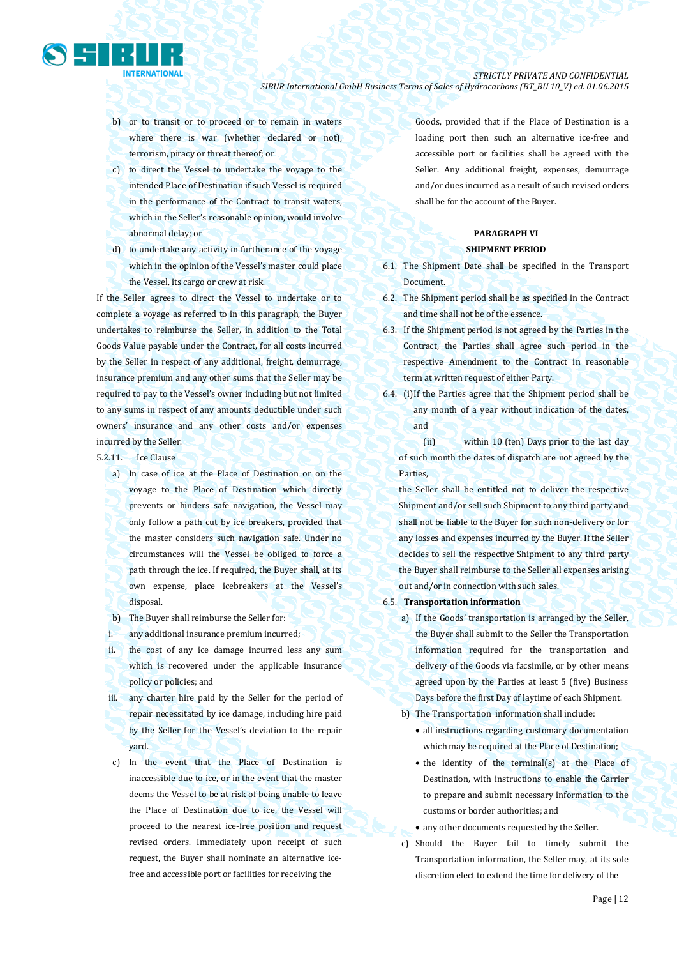

- b) or to transit or to proceed or to remain in waters where there is war (whether declared or not), terrorism, piracy or threat thereof; or
- c) to direct the Vessel to undertake the voyage to the intended Place of Destination if such Vessel is required in the performance of the Contract to transit waters, which in the Seller's reasonable opinion, would involve abnormal delay; or
- d) to undertake any activity in furtherance of the voyage which in the opinion of the Vessel's master could place the Vessel, its cargo or crew at risk.

If the Seller agrees to direct the Vessel to undertake or to complete a voyage as referred to in this paragraph, the Buyer undertakes to reimburse the Seller, in addition to the Total Goods Value payable under the Contract, for all costs incurred by the Seller in respect of any additional, freight, demurrage, insurance premium and any other sums that the Seller may be required to pay to the Vessel's owner including but not limited to any sums in respect of any amounts deductible under such owners' insurance and any other costs and/or expenses incurred by the Seller.

- 5.2.11. Ice Clause
	- a) In case of ice at the Place of Destination or on the voyage to the Place of Destination which directly prevents or hinders safe navigation, the Vessel may only follow a path cut by ice breakers, provided that the master considers such navigation safe. Under no circumstances will the Vessel be obliged to force a path through the ice. If required, the Buyer shall, at its own expense, place icebreakers at the Vessel's disposal.
	- b) The Buyer shall reimburse the Seller for:
	- i. any additional insurance premium incurred;
	- ii. the cost of any ice damage incurred less any sum which is recovered under the applicable insurance policy or policies; and
	- iii. any charter hire paid by the Seller for the period of repair necessitated by ice damage, including hire paid by the Seller for the Vessel's deviation to the repair yard.
	- c) In the event that the Place of Destination is inaccessible due to ice, or in the event that the master deems the Vessel to be at risk of being unable to leave the Place of Destination due to ice, the Vessel will proceed to the nearest ice-free position and request revised orders. Immediately upon receipt of such request, the Buyer shall nominate an alternative icefree and accessible port or facilities for receiving the

Goods, provided that if the Place of Destination is a loading port then such an alternative ice-free and accessible port or facilities shall be agreed with the Seller. Any additional freight, expenses, demurrage and/or dues incurred as a result of such revised orders shall be for the account of the Buyer.

### **PARAGRAPH VI SHIPMENT PERIOD**

- 6.1. The Shipment Date shall be specified in the Transport Document.
- 6.2. The Shipment period shall be as specified in the Contract and time shall not be of the essence.
- 6.3. If the Shipment period is not agreed by the Parties in the Contract, the Parties shall agree such period in the respective Amendment to the Contract in reasonable term at written request of either Party.
- 6.4. (i)If the Parties agree that the Shipment period shall be any month of a year without indication of the dates, and

 (ii) within 10 (ten) Days prior to the last day of such month the dates of dispatch are not agreed by the Parties,

the Seller shall be entitled not to deliver the respective Shipment and/or sell such Shipment to any third party and shall not be liable to the Buyer for such non-delivery or for any losses and expenses incurred by the Buyer. If the Seller decides to sell the respective Shipment to any third party the Buyer shall reimburse to the Seller all expenses arising out and/or in connection with such sales.

- 6.5. **Transportation information** 
	- a) If the Goods' transportation is arranged by the Seller, the Buyer shall submit to the Seller the Transportation information required for the transportation and delivery of the Goods via facsimile, or by other means agreed upon by the Parties at least 5 (five) Business Days before the first Day of laytime of each Shipment.
	- b) The Transportation information shall include:
		- all instructions regarding customary documentation which may be required at the Place of Destination;
		- the identity of the terminal(s) at the Place of Destination, with instructions to enable the Carrier to prepare and submit necessary information to the customs or border authorities; and
		- any other documents requested by the Seller.
	- c) Should the Buyer fail to timely submit the Transportation information, the Seller may, at its sole discretion elect to extend the time for delivery of the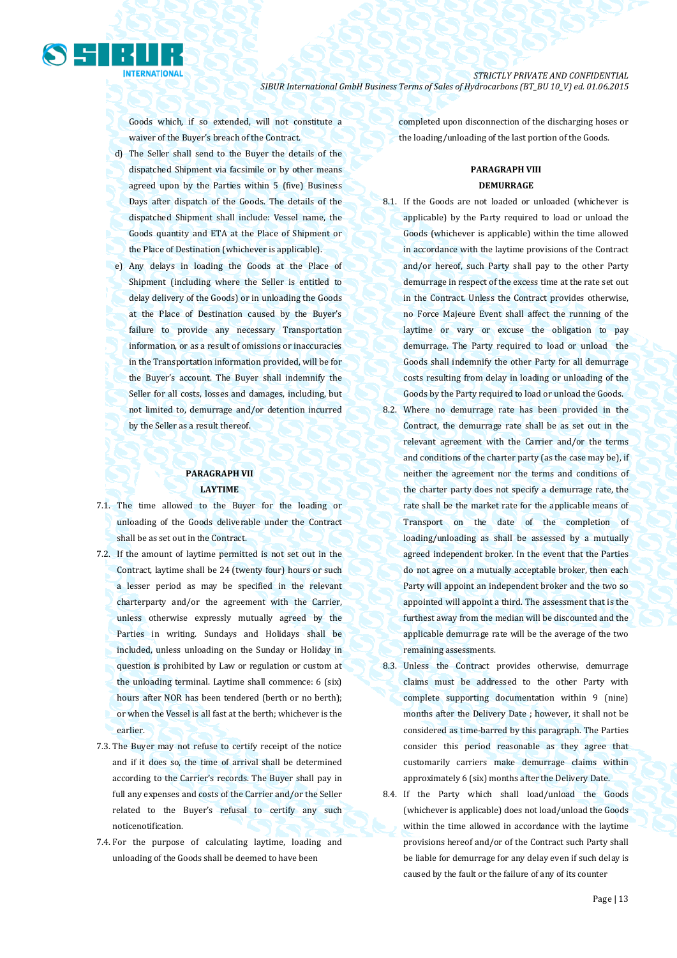

Goods which, if so extended, will not constitute a waiver of the Buyer's breach of the Contract.

- d) The Seller shall send to the Buyer the details of the dispatched Shipment via facsimile or by other means agreed upon by the Parties within 5 (five) Business Days after dispatch of the Goods. The details of the dispatched Shipment shall include: Vessel name, the Goods quantity and ETA at the Place of Shipment or the Place of Destination (whichever is applicable).
- e) Any delays in loading the Goods at the Place of Shipment (including where the Seller is entitled to delay delivery of the Goods) or in unloading the Goods at the Place of Destination caused by the Buyer's failure to provide any necessary Transportation information, or as a result of omissions or inaccuracies in the Transportation information provided, will be for the Buyer's account. The Buyer shall indemnify the Seller for all costs, losses and damages, including, but not limited to, demurrage and/or detention incurred by the Seller as a result thereof.

### **PARAGRAPH VII LAYTIME**

- 7.1. The time allowed to the Buyer for the loading or unloading of the Goods deliverable under the Contract shall be as set out in the Contract.
- 7.2. If the amount of laytime permitted is not set out in the Contract, laytime shall be 24 (twenty four) hours or such a lesser period as may be specified in the relevant charterparty and/or the agreement with the Carrier, unless otherwise expressly mutually agreed by the Parties in writing. Sundays and Holidays shall be included, unless unloading on the Sunday or Holiday in question is prohibited by Law or regulation or custom at the unloading terminal. Laytime shall commence: 6 (six) hours after NOR has been tendered (berth or no berth); or when the Vessel is all fast at the berth; whichever is the earlier.
- 7.3. The Buyer may not refuse to certify receipt of the notice and if it does so, the time of arrival shall be determined according to the Carrier's records. The Buyer shall pay in full any expenses and costs of the Carrier and/or the Seller related to the Buyer's refusal to certify any such noticenotification.
- 7.4. For the purpose of calculating laytime, loading and unloading of the Goods shall be deemed to have been

completed upon disconnection of the discharging hoses or the loading/unloading of the last portion of the Goods.

### **PARAGRAPH VIII DEMURRAGE**

- 8.1. If the Goods are not loaded or unloaded (whichever is applicable) by the Party required to load or unload the Goods (whichever is applicable) within the time allowed in accordance with the laytime provisions of the Contract and/or hereof, such Party shall pay to the other Party demurrage in respect of the excess time at the rate set out in the Contract. Unless the Contract provides otherwise, no Force Majeure Event shall affect the running of the laytime or vary or excuse the obligation to pay demurrage. The Party required to load or unload the Goods shall indemnify the other Party for all demurrage costs resulting from delay in loading or unloading of the Goods by the Party required to load or unload the Goods.
- 8.2. Where no demurrage rate has been provided in the Contract, the demurrage rate shall be as set out in the relevant agreement with the Carrier and/or the terms and conditions of the charter party (as the case may be), if neither the agreement nor the terms and conditions of the charter party does not specify a demurrage rate, the rate shall be the market rate for the applicable means of Transport on the date of the completion of loading/unloading as shall be assessed by a mutually agreed independent broker. In the event that the Parties do not agree on a mutually acceptable broker, then each Party will appoint an independent broker and the two so appointed will appoint a third. The assessment that is the furthest away from the median will be discounted and the applicable demurrage rate will be the average of the two remaining assessments.
- 8.3. Unless the Contract provides otherwise, demurrage claims must be addressed to the other Party with complete supporting documentation within 9 (nine) months after the Delivery Date ; however, it shall not be considered as time-barred by this paragraph. The Parties consider this period reasonable as they agree that customarily carriers make demurrage claims within approximately 6 (six) months after the Delivery Date.
- 8.4. If the Party which shall load/unload the Goods (whichever is applicable) does not load/unload the Goods within the time allowed in accordance with the laytime provisions hereof and/or of the Contract such Party shall be liable for demurrage for any delay even if such delay is caused by the fault or the failure of any of its counter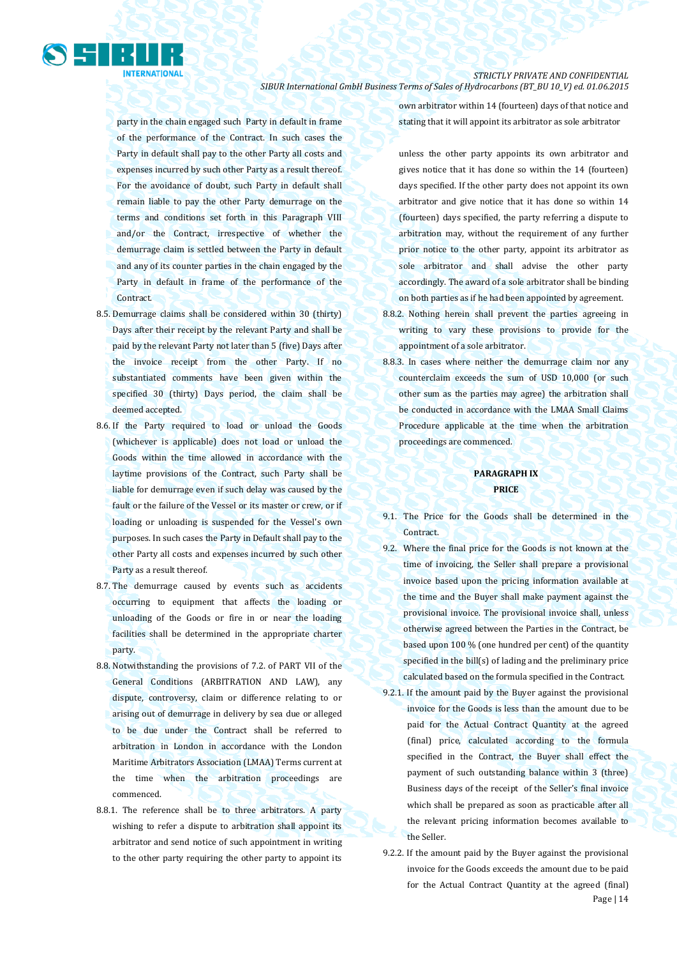

party in the chain engaged such Party in default in frame of the performance of the Contract. In such cases the Party in default shall pay to the other Party all costs and expenses incurred by such other Party as a result thereof. For the avoidance of doubt, such Party in default shall remain liable to pay the other Party demurrage on the terms and conditions set forth in this Paragraph VIII and/or the Contract, irrespective of whether the demurrage claim is settled between the Party in default and any of its counter parties in the chain engaged by the Party in default in frame of the performance of the Contract.

- 8.5. Demurrage claims shall be considered within 30 (thirty) Days after their receipt by the relevant Party and shall be paid by the relevant Party not later than 5 (five) Days after the invoice receipt from the other Party. If no substantiated comments have been given within the specified 30 (thirty) Days period, the claim shall be deemed accepted.
- 8.6. If the Party required to load or unload the Goods (whichever is applicable) does not load or unload the Goods within the time allowed in accordance with the laytime provisions of the Contract, such Party shall be liable for demurrage even if such delay was caused by the fault or the failure of the Vessel or its master or crew, or if loading or unloading is suspended for the Vessel's own purposes. In such cases the Party in Default shall pay to the other Party all costs and expenses incurred by such other Party as a result thereof.
- 8.7. The demurrage caused by events such as accidents occurring to equipment that affects the loading or unloading of the Goods or fire in or near the loading facilities shall be determined in the appropriate charter party.
- 8.8. Notwithstanding the provisions of 7.2. of PART VII of the General Conditions (ARBITRATION AND LAW), any dispute, controversy, claim or difference relating to or arising out of demurrage in delivery by sea due or alleged to be due under the Contract shall be referred to arbitration in London in accordance with the London Maritime Arbitrators Association (LMAA) Terms current at the time when the arbitration proceedings are commenced.
- 8.8.1. The reference shall be to three arbitrators. A party wishing to refer a dispute to arbitration shall appoint its arbitrator and send notice of such appointment in writing to the other party requiring the other party to appoint its

own arbitrator within 14 (fourteen) days of that notice and stating that it will appoint its arbitrator as sole arbitrator

unless the other party appoints its own arbitrator and gives notice that it has done so within the 14 (fourteen) days specified. If the other party does not appoint its own arbitrator and give notice that it has done so within 14 (fourteen) days specified, the party referring a dispute to arbitration may, without the requirement of any further prior notice to the other party, appoint its arbitrator as sole arbitrator and shall advise the other party accordingly. The award of a sole arbitrator shall be binding on both parties as if he had been appointed by agreement.

- 8.8.2. Nothing herein shall prevent the parties agreeing in writing to vary these provisions to provide for the appointment of a sole arbitrator.
- 8.8.3. In cases where neither the demurrage claim nor any counterclaim exceeds the sum of USD 10,000 (or such other sum as the parties may agree) the arbitration shall be conducted in accordance with the LMAA Small Claims Procedure applicable at the time when the arbitration proceedings are commenced.

### **PARAGRAPH IX PRICE**

- 9.1. The Price for the Goods shall be determined in the Contract.
- 9.2. Where the final price for the Goods is not known at the time of invoicing, the Seller shall prepare a provisional invoice based upon the pricing information available at the time and the Buyer shall make payment against the provisional invoice. The provisional invoice shall, unless otherwise agreed between the Parties in the Contract, be based upon 100 % (one hundred per cent) of the quantity specified in the bill(s) of lading and the preliminary price calculated based on the formula specified in the Contract.
- 9.2.1. If the amount paid by the Buyer against the provisional invoice for the Goods is less than the amount due to be paid for the Actual Contract Quantity at the agreed (final) price, calculated according to the formula specified in the Contract, the Buyer shall effect the payment of such outstanding balance within 3 (three) Business days of the receipt of the Seller's final invoice which shall be prepared as soon as practicable after all the relevant pricing information becomes available to the Seller.
- Page | 14 9.2.2. If the amount paid by the Buyer against the provisional invoice for the Goods exceeds the amount due to be paid for the Actual Contract Quantity at the agreed (final)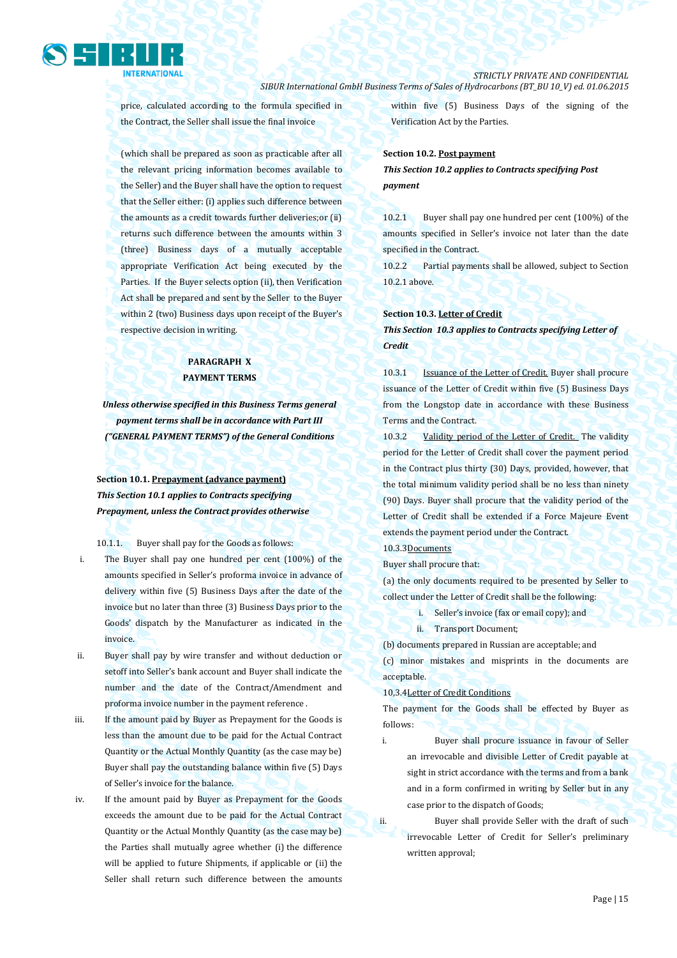

price, calculated according to the formula specified in the Contract, the Seller shall issue the final invoice

(which shall be prepared as soon as practicable after all the relevant pricing information becomes available to the Seller) and the Buyer shall have the option to request that the Seller either: (i) applies such difference between the amounts as a credit towards further deliveries;or (ii) returns such difference between the amounts within 3 (three) Business days of a mutually acceptable appropriate Verification Act being executed by the Parties. If the Buyer selects option (ii), then Verification Act shall be prepared and sent by the Seller to the Buyer within 2 (two) Business days upon receipt of the Buyer's respective decision in writing.

## **PARAGRAPH X PAYMENT TERMS**

*Unless otherwise specified in this Business Terms general payment terms shall be in accordance with Part III ("GENERAL PAYMENT TERMS") of the General Conditions*

**Section 10.1. Prepayment (advance payment)** *This Section 10.1 applies to Contracts specifying Prepayment, unless the Contract provides otherwise*

10.1.1. Buyer shall pay for the Goods as follows:

- i. The Buyer shall pay one hundred per cent (100%) of the amounts specified in Seller's proforma invoice in advance of delivery within five (5) Business Days after the date of the invoice but no later than three (3) Business Days prior to the Goods' dispatch by the Manufacturer as indicated in the invoice.
- ii. Buyer shall pay by wire transfer and without deduction or setoff into Seller's bank account and Buyer shall indicate the number and the date of the Contract/Amendment and proforma invoice number in the payment reference .
- iii. If the amount paid by Buyer as Prepayment for the Goods is less than the amount due to be paid for the Actual Contract Quantity or the Actual Monthly Quantity (as the case may be) Buyer shall pay the outstanding balance within five (5) Days of Seller's invoice for the balance.
- iv. If the amount paid by Buyer as Prepayment for the Goods exceeds the amount due to be paid for the Actual Contract Quantity or the Actual Monthly Quantity (as the case may be) the Parties shall mutually agree whether (i) the difference will be applied to future Shipments, if applicable or (ii) the Seller shall return such difference between the amounts

within five (5) Business Days of the signing of the Verification Act by the Parties.

#### **Section 10.2. Post payment**

*This Section 10.2 applies to Contracts specifying Post payment*

10.2.1 Buyer shall pay one hundred per cent (100%) of the amounts specified in Seller's invoice not later than the date specified in the Contract.

10.2.2 Partial payments shall be allowed, subject to Section 10.2.1 above.

#### **Section 10.3. Letter of Credit**

*This Section 10.3 applies to Contracts specifying Letter of Credit* 

10.3.1 **Issuance of the Letter of Credit.** Buyer shall procure issuance of the Letter of Credit within five (5) Business Days from the Longstop date in accordance with these Business Terms and the Contract.

10.3.2 Validity period of the Letter of Credit. The validity period for the Letter of Credit shall cover the payment period in the Contract plus thirty (30) Days, provided, however, that the total minimum validity period shall be no less than ninety (90) Days. Buyer shall procure that the validity period of the Letter of Credit shall be extended if a Force Majeure Event extends the payment period under the Contract.

#### 10.3.3Documents

Buyer shall procure that:

(a) the only documents required to be presented by Seller to collect under the Letter of Credit shall be the following:

- i. Seller's invoice (fax or email copy); and
- ii. Transport Document;

(b) documents prepared in Russian are acceptable; and

(c) minor mistakes and misprints in the documents are acceptable.

#### 10,3.4Letter of Credit Conditions

The payment for the Goods shall be effected by Buyer as follows:

i. Buyer shall procure issuance in favour of Seller an irrevocable and divisible Letter of Credit payable at sight in strict accordance with the terms and from a bank and in a form confirmed in writing by Seller but in any case prior to the dispatch of Goods;

ii. Buyer shall provide Seller with the draft of such irrevocable Letter of Credit for Seller's preliminary written approval;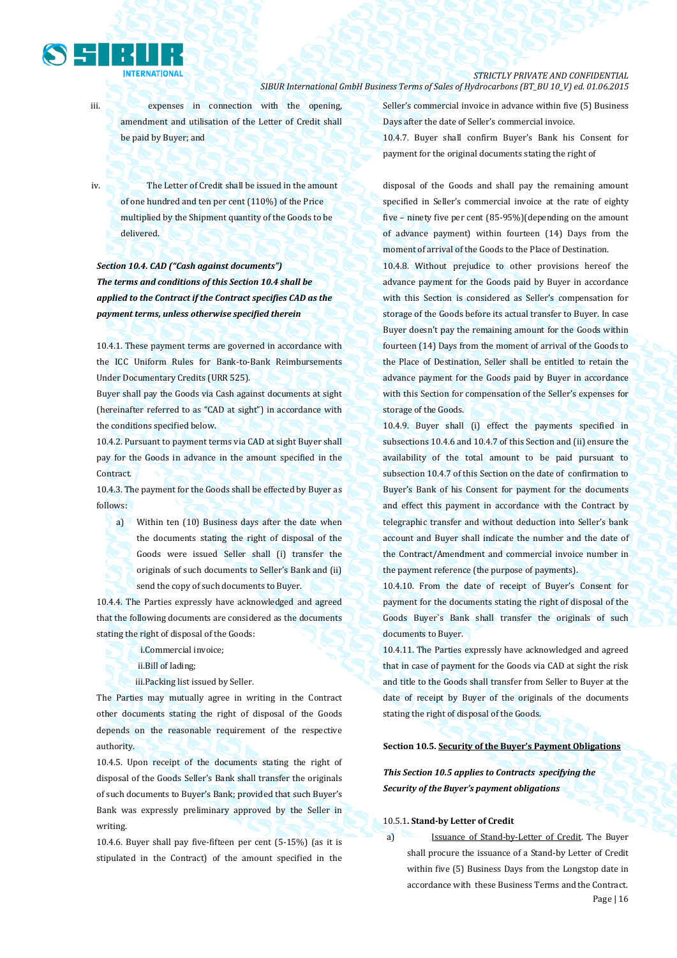

iii. expenses in connection with the opening, amendment and utilisation of the Letter of Credit shall be paid by Buyer; and

iv. The Letter of Credit shall be issued in the amount of one hundred and ten per cent (110%) of the Price multiplied by the Shipment quantity of the Goods to be delivered.

*Section 10.4. CAD ("Cash against documents") The terms and conditions of this Section 10.4 shall be applied to the Contract if the Contract specifies CAD as the payment terms, unless otherwise specified therein*

10.4.1. These payment terms are governed in accordance with the ICC Uniform Rules for Bank-to-Bank Reimbursements Under Documentary Credits (URR 525).

Buyer shall pay the Goods via Cash against documents at sight (hereinafter referred to as "CAD at sight") in accordance with the conditions specified below.

10.4.2. Pursuant to payment terms via CAD at sight Buyer shall pay for the Goods in advance in the amount specified in the Contract.

10.4.3. The payment for the Goods shall be effected by Buyer as follows:

a) Within ten (10) Business days after the date when the documents stating the right of disposal of the Goods were issued Seller shall (i) transfer the originals of such documents to Seller's Bank and (ii) send the copy of such documents to Buyer.

10.4.4. The Parties expressly have acknowledged and agreed that the following documents are considered as the documents stating the right of disposal of the Goods:

- i.Commercial invoice;
- ii.Bill of lading;

iii.Packing list issued by Seller.

The Parties may mutually agree in writing in the Contract other documents stating the right of disposal of the Goods depends on the reasonable requirement of the respective authority.

10.4.5. Upon receipt of the documents stating the right of disposal of the Goods Seller's Bank shall transfer the originals of such documents to Buyer's Bank; provided that such Buyer's Bank was expressly preliminary approved by the Seller in writing.

10.4.6. Buyer shall pay five-fifteen per cent (5-15%) (as it is stipulated in the Contract) of the amount specified in the Seller's commercial invoice in advance within five (5) Business Days after the date of Seller's commercial invoice. 10.4.7. Buyer shall confirm Buyer's Bank his Consent for payment for the original documents stating the right of

disposal of the Goods and shall pay the remaining amount specified in Seller's commercial invoice at the rate of eighty five – ninety five per cent (85-95%)(depending on the amount of advance payment) within fourteen (14) Days from the moment of arrival of the Goods to the Place of Destination.

10.4.8. Without prejudice to other provisions hereof the advance payment for the Goods paid by Buyer in accordance with this Section is considered as Seller's compensation for storage of the Goods before its actual transfer to Buyer. In case Buyer doesn't pay the remaining amount for the Goods within fourteen (14) Days from the moment of arrival of the Goods to the Place of Destination, Seller shall be entitled to retain the advance payment for the Goods paid by Buyer in accordance with this Section for compensation of the Seller's expenses for storage of the Goods.

10.4.9. Buyer shall (i) effect the payments specified in subsections 10.4.6 and 10.4.7 of this Section and (ii) ensure the availability of the total amount to be paid pursuant to subsection 10.4.7 of this Section on the date of confirmation to Buyer's Bank of his Consent for payment for the documents and effect this payment in accordance with the Contract by telegraphic transfer and without deduction into Seller's bank account and Buyer shall indicate the number and the date of the Contract/Amendment and commercial invoice number in the payment reference (the purpose of payments).

10.4.10. From the date of receipt of Buyer's Consent for payment for the documents stating the right of disposal of the Goods Buyer`s Bank shall transfer the originals of such documents to Buyer.

10.4.11. The Parties expressly have acknowledged and agreed that in case of payment for the Goods via CAD at sight the risk and title to the Goods shall transfer from Seller to Buyer at the date of receipt by Buyer of the originals of the documents stating the right of disposal of the Goods.

**Section 10.5. Security of the Buyer's Payment Obligations**

*This Section 10.5 applies to Contracts specifying the Security of the Buyer's payment obligations*

#### 10.5.1**. Stand-by Letter of Credit**

Page | 16 a) Issuance of Stand-by-Letter of Credit. The Buyer shall procure the issuance of a Stand-by Letter of Credit within five (5) Business Days from the Longstop date in accordance with these Business Terms and the Contract.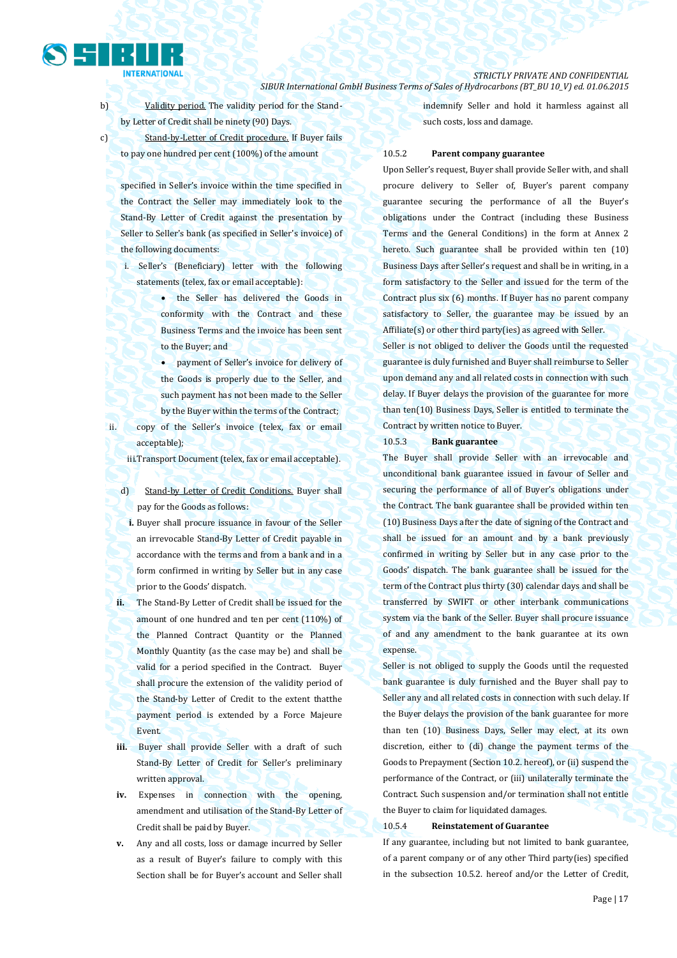b) Validity period. The validity period for the Standby Letter of Credit shall be ninety (90) Days.

indemnify Seller and hold it harmless against all such costs, loss and damage.

c) Stand-by-Letter of Credit procedure. If Buyer fails to pay one hundred per cent (100%) of the amount

specified in Seller's invoice within the time specified in the Contract the Seller may immediately look to the Stand-By Letter of Credit against the presentation by Seller to Seller's bank (as specified in Seller's invoice) of the following documents:

i. Seller's (Beneficiary) letter with the following statements (telex, fax or email acceptable):

> • the Seller has delivered the Goods in conformity with the Contract and these Business Terms and the invoice has been sent to the Buyer; and

> payment of Seller's invoice for delivery of the Goods is properly due to the Seller, and such payment has not been made to the Seller by the Buyer within the terms of the Contract;

ii. copy of the Seller's invoice (telex, fax or email acceptable);

iii.Transport Document (telex, fax or email acceptable).

d) Stand-by Letter of Credit Conditions. Buyer shall pay for the Goods as follows:

- **i.** Buyer shall procure issuance in favour of the Seller an irrevocable Stand-By Letter of Credit payable in accordance with the terms and from a bank and in a form confirmed in writing by Seller but in any case prior to the Goods' dispatch.
- **ii.** The Stand-By Letter of Credit shall be issued for the amount of one hundred and ten per cent (110%) of the Planned Contract Quantity or the Planned Monthly Quantity (as the case may be) and shall be valid for a period specified in the Contract. Buyer shall procure the extension of the validity period of the Stand-by Letter of Credit to the extent thatthe payment period is extended by a Force Majeure Event.
- **iii.** Buyer shall provide Seller with a draft of such Stand-By Letter of Credit for Seller's preliminary written approval.
- **iv.** Expenses in connection with the opening, amendment and utilisation of the Stand-By Letter of Credit shall be paid by Buyer.
- **v.** Any and all costs, loss or damage incurred by Seller as a result of Buyer's failure to comply with this Section shall be for Buyer's account and Seller shall

10.5.2 **Parent company guarantee** 

Upon Seller's request, Buyer shall provide Seller with, and shall procure delivery to Seller of, Buyer's parent company guarantee securing the performance of all the Buyer's obligations under the Contract (including these Business Terms and the General Conditions) in the form at Annex 2 hereto. Such guarantee shall be provided within ten (10) Business Days after Seller's request and shall be in writing, in a form satisfactory to the Seller and issued for the term of the Contract plus six (6) months. If Buyer has no parent company satisfactory to Seller, the guarantee may be issued by an Affiliate(s) or other third party(ies) as agreed with Seller.

Seller is not obliged to deliver the Goods until the requested guarantee is duly furnished and Buyer shall reimburse to Seller upon demand any and all related costs in connection with such delay. If Buyer delays the provision of the guarantee for more than ten(10) Business Days, Seller is entitled to terminate the Contract by written notice to Buyer.

#### 10.5.3 **Bank guarantee**

The Buyer shall provide Seller with an irrevocable and unconditional bank guarantee issued in favour of Seller and securing the performance of all of Buyer's obligations under the Contract. The bank guarantee shall be provided within ten (10) Business Days after the date of signing of the Contract and shall be issued for an amount and by a bank previously confirmed in writing by Seller but in any case prior to the Goods' dispatch. The bank guarantee shall be issued for the term of the Contract plus thirty (30) calendar days and shall be transferred by SWIFT or other interbank communications system via the bank of the Seller. Buyer shall procure issuance of and any amendment to the bank guarantee at its own expense.

Seller is not obliged to supply the Goods until the requested bank guarantee is duly furnished and the Buyer shall pay to Seller any and all related costs in connection with such delay. If the Buyer delays the provision of the bank guarantee for more than ten (10) Business Days, Seller may elect, at its own discretion, either to (di) change the payment terms of the Goods to Prepayment (Section 10.2. hereof), or (ii) suspend the performance of the Contract, or (iii) unilaterally terminate the Contract. Such suspension and/or termination shall not entitle the Buyer to claim for liquidated damages.

#### 10.5.4 **Reinstatement of Guarantee**

If any guarantee, including but not limited to bank guarantee, of a parent company or of any other Third party(ies) specified in the subsection 10.5.2. hereof and/or the Letter of Credit,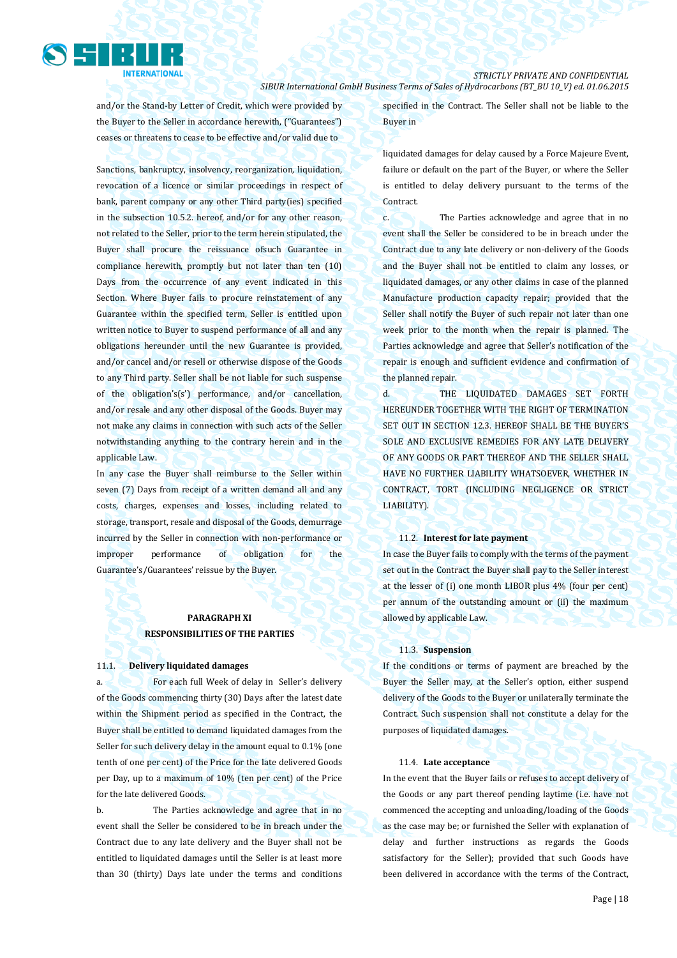

and/or the Stand-by Letter of Credit, which were provided by the Buyer to the Seller in accordance herewith, ("Guarantees") ceases or threatens to cease to be effective and/or valid due to

Sanctions, bankruptcy, insolvency, reorganization, liquidation, revocation of a licence or similar proceedings in respect of bank, parent company or any other Third party(ies) specified in the subsection 10.5.2. hereof, and/or for any other reason, not related to the Seller, prior to the term herein stipulated, the Buyer shall procure the reissuance ofsuch Guarantee in compliance herewith, promptly but not later than ten (10) Days from the occurrence of any event indicated in this Section. Where Buyer fails to procure reinstatement of any Guarantee within the specified term, Seller is entitled upon written notice to Buyer to suspend performance of all and any obligations hereunder until the new Guarantee is provided, and/or cancel and/or resell or otherwise dispose of the Goods to any Third party. Seller shall be not liable for such suspense of the obligation's(s') performance, and/or cancellation, and/or resale and any other disposal of the Goods. Buyer may not make any claims in connection with such acts of the Seller notwithstanding anything to the contrary herein and in the applicable Law.

In any case the Buyer shall reimburse to the Seller within seven (7) Days from receipt of a written demand all and any costs, charges, expenses and losses, including related to storage, transport, resale and disposal of the Goods, demurrage incurred by the Seller in connection with non-performance or improper performance of obligation for the Guarantee's/Guarantees' reissue by the Buyer.

### **PARAGRAPH XI RESPONSIBILITIES OF THE PARTIES**

#### 11.1. **Delivery liquidated damages**

a. For each full Week of delay in Seller's delivery of the Goods commencing thirty (30) Days after the latest date within the Shipment period as specified in the Contract, the Buyer shall be entitled to demand liquidated damages from the Seller for such delivery delay in the amount equal to 0.1% (one tenth of one per cent) of the Price for the late delivered Goods per Day, up to a maximum of 10% (ten per cent) of the Price for the late delivered Goods.

b. The Parties acknowledge and agree that in no event shall the Seller be considered to be in breach under the Contract due to any late delivery and the Buyer shall not be entitled to liquidated damages until the Seller is at least more than 30 (thirty) Days late under the terms and conditions specified in the Contract. The Seller shall not be liable to the Buyer in

liquidated damages for delay caused by a Force Majeure Event, failure or default on the part of the Buyer, or where the Seller is entitled to delay delivery pursuant to the terms of the Contract.

c. The Parties acknowledge and agree that in no event shall the Seller be considered to be in breach under the Contract due to any late delivery or non-delivery of the Goods and the Buyer shall not be entitled to claim any losses, or liquidated damages, or any other claims in case of the planned Manufacture production capacity repair; provided that the Seller shall notify the Buyer of such repair not later than one week prior to the month when the repair is planned. The Parties acknowledge and agree that Seller's notification of the repair is enough and sufficient evidence and confirmation of the planned repair.

d. THE LIQUIDATED DAMAGES SET FORTH HEREUNDER TOGETHER WITH THE RIGHT OF TERMINATION SET OUT IN SECTION 12.3. HEREOF SHALL BE THE BUYER'S SOLE AND EXCLUSIVE REMEDIES FOR ANY LATE DELIVERY OF ANY GOODS OR PART THEREOF AND THE SELLER SHALL HAVE NO FURTHER LIABILITY WHATSOEVER, WHETHER IN CONTRACT, TORT (INCLUDING NEGLIGENCE OR STRICT LIABILITY).

#### 11.2. **Interest for late payment**

In case the Buyer fails to comply with the terms of the payment set out in the Contract the Buyer shall pay to the Seller interest at the lesser of (i) one month LIBOR plus 4% (four per cent) per annum of the outstanding amount or (ii) the maximum allowed by applicable Law.

#### 11.3. **Suspension**

If the conditions or terms of payment are breached by the Buyer the Seller may, at the Seller's option, either suspend delivery of the Goods to the Buyer or unilaterally terminate the Contract. Such suspension shall not constitute a delay for the purposes of liquidated damages.

#### 11.4. **Late acceptance**

In the event that the Buyer fails or refuses to accept delivery of the Goods or any part thereof pending laytime (i.e. have not commenced the accepting and unloading/loading of the Goods as the case may be; or furnished the Seller with explanation of delay and further instructions as regards the Goods satisfactory for the Seller); provided that such Goods have been delivered in accordance with the terms of the Contract,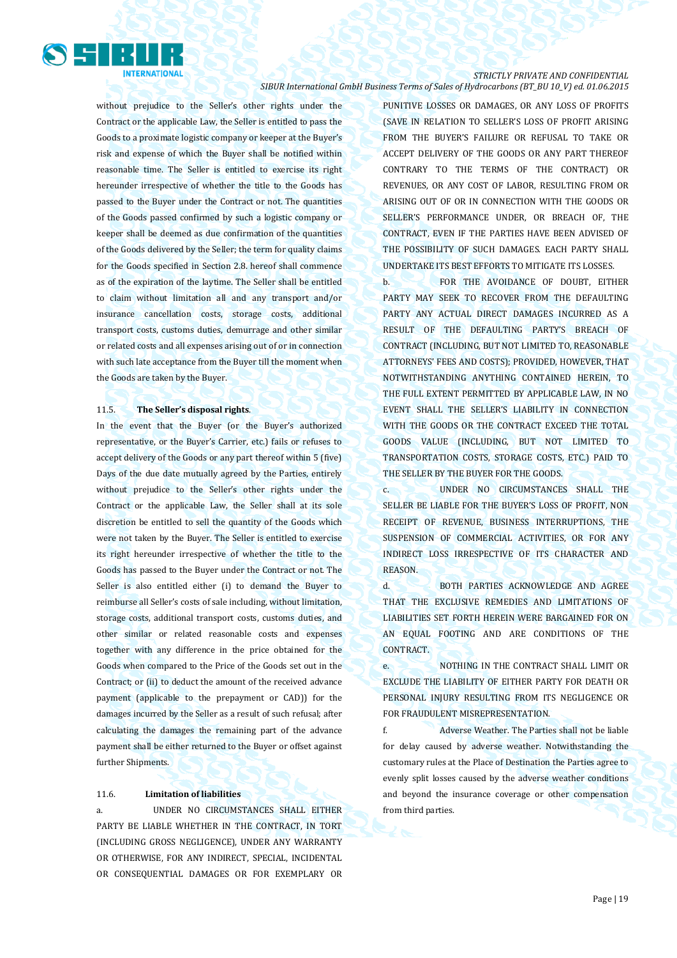

without prejudice to the Seller's other rights under the Contract or the applicable Law, the Seller is entitled to pass the Goods to a proximate logistic company or keeper at the Buyer's risk and expense of which the Buyer shall be notified within reasonable time. The Seller is entitled to exercise its right hereunder irrespective of whether the title to the Goods has passed to the Buyer under the Contract or not. The quantities of the Goods passed confirmed by such a logistic company or keeper shall be deemed as due confirmation of the quantities of the Goods delivered by the Seller; the term for quality claims for the Goods specified in Section 2.8. hereof shall commence as of the expiration of the laytime. The Seller shall be entitled to claim without limitation all and any transport and/or insurance cancellation costs, storage costs, additional transport costs, customs duties, demurrage and other similar or related costs and all expenses arising out of or in connection with such late acceptance from the Buyer till the moment when the Goods are taken by the Buyer.

#### 11.5. **The Seller's disposal rights**.

In the event that the Buyer (or the Buyer's authorized representative, or the Buyer's Carrier, etc.) fails or refuses to accept delivery of the Goods or any part thereof within 5 (five) Days of the due date mutually agreed by the Parties, entirely without prejudice to the Seller's other rights under the Contract or the applicable Law, the Seller shall at its sole discretion be entitled to sell the quantity of the Goods which were not taken by the Buyer. The Seller is entitled to exercise its right hereunder irrespective of whether the title to the Goods has passed to the Buyer under the Contract or not. The Seller is also entitled either (i) to demand the Buyer to reimburse all Seller's costs of sale including, without limitation, storage costs, additional transport costs, customs duties, and other similar or related reasonable costs and expenses together with any difference in the price obtained for the Goods when compared to the Price of the Goods set out in the Contract; or (ii) to deduct the amount of the received advance payment (applicable to the prepayment or CAD)) for the damages incurred by the Seller as a result of such refusal; after calculating the damages the remaining part of the advance payment shall be either returned to the Buyer or offset against further Shipments.

#### 11.6. **Limitation of liabilities**

a. UNDER NO CIRCUMSTANCES SHALL EITHER PARTY BE LIABLE WHETHER IN THE CONTRACT, IN TORT (INCLUDING GROSS NEGLIGENCE), UNDER ANY WARRANTY OR OTHERWISE, FOR ANY INDIRECT, SPECIAL, INCIDENTAL OR CONSEQUENTIAL DAMAGES OR FOR EXEMPLARY OR

PUNITIVE LOSSES OR DAMAGES, OR ANY LOSS OF PROFITS (SAVE IN RELATION TO SELLER'S LOSS OF PROFIT ARISING FROM THE BUYER'S FAILURE OR REFUSAL TO TAKE OR ACCEPT DELIVERY OF THE GOODS OR ANY PART THEREOF CONTRARY TO THE TERMS OF THE CONTRACT) OR REVENUES, OR ANY COST OF LABOR, RESULTING FROM OR ARISING OUT OF OR IN CONNECTION WITH THE GOODS OR SELLER'S PERFORMANCE UNDER, OR BREACH OF, THE CONTRACT, EVEN IF THE PARTIES HAVE BEEN ADVISED OF THE POSSIBILITY OF SUCH DAMAGES. EACH PARTY SHALL UNDERTAKE ITS BEST EFFORTS TO MITIGATE ITS LOSSES.

b. FOR THE AVOIDANCE OF DOUBT, EITHER PARTY MAY SEEK TO RECOVER FROM THE DEFAULTING PARTY ANY ACTUAL DIRECT DAMAGES INCURRED AS A RESULT OF THE DEFAULTING PARTY'S BREACH OF CONTRACT (INCLUDING, BUT NOT LIMITED TO, REASONABLE ATTORNEYS' FEES AND COSTS); PROVIDED, HOWEVER, THAT NOTWITHSTANDING ANYTHING CONTAINED HEREIN, TO THE FULL EXTENT PERMITTED BY APPLICABLE LAW, IN NO EVENT SHALL THE SELLER'S LIABILITY IN CONNECTION WITH THE GOODS OR THE CONTRACT EXCEED THE TOTAL GOODS VALUE (INCLUDING, BUT NOT LIMITED TO TRANSPORTATION COSTS, STORAGE COSTS, ETC.) PAID TO THE SELLER BY THE BUYER FOR THE GOODS.

c. UNDER NO CIRCUMSTANCES SHALL THE SELLER BE LIABLE FOR THE BUYER'S LOSS OF PROFIT, NON RECEIPT OF REVENUE, BUSINESS INTERRUPTIONS, THE SUSPENSION OF COMMERCIAL ACTIVITIES, OR FOR ANY INDIRECT LOSS IRRESPECTIVE OF ITS CHARACTER AND REASON.

d. BOTH PARTIES ACKNOWLEDGE AND AGREE THAT THE EXCLUSIVE REMEDIES AND LIMITATIONS OF LIABILITIES SET FORTH HEREIN WERE BARGAINED FOR ON AN EQUAL FOOTING AND ARE CONDITIONS OF THE CONTRACT.

e. NOTHING IN THE CONTRACT SHALL LIMIT OR EXCLUDE THE LIABILITY OF EITHER PARTY FOR DEATH OR PERSONAL INJURY RESULTING FROM ITS NEGLIGENCE OR FOR FRAUDULENT MISREPRESENTATION.

f. Adverse Weather. The Parties shall not be liable for delay caused by adverse weather. Notwithstanding the customary rules at the Place of Destination the Parties agree to evenly split losses caused by the adverse weather conditions and beyond the insurance coverage or other compensation from third parties.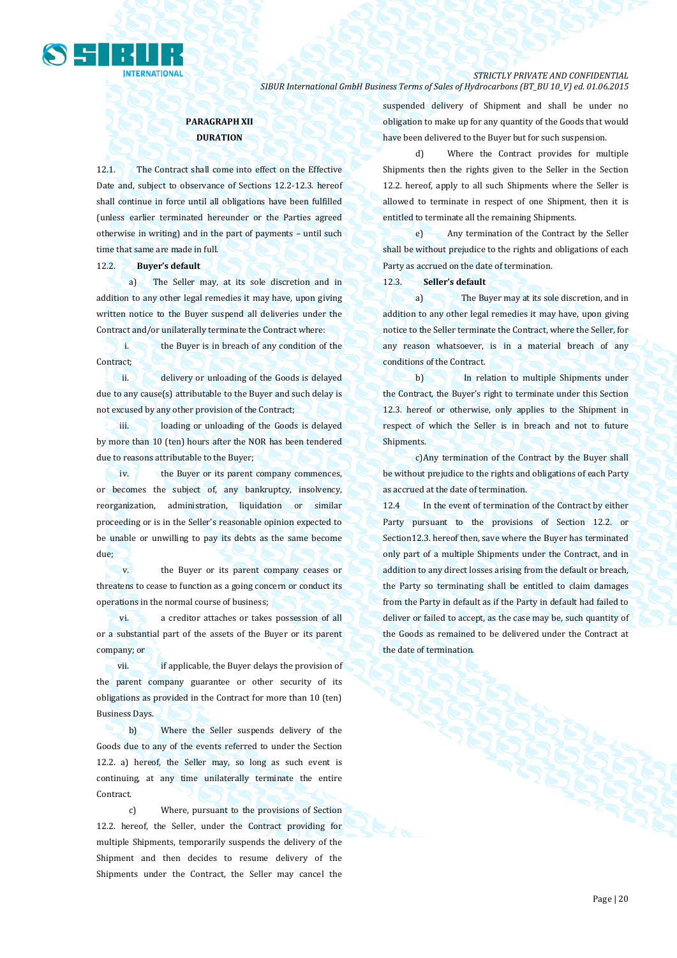

### **PARAGRAPH XII DURATION**

12.1. The Contract shall come into effect on the Effective Date and, subject to observance of Sections 12.2-12.3. hereof shall continue in force until all obligations have been fulfilled (unless earlier terminated hereunder or the Parties agreed otherwise in writing) and in the part of payments – until such time that same are made in full.

#### 12.2. **Buyer's default**

a) The Seller may, at its sole discretion and in addition to any other legal remedies it may have, upon giving written notice to the Buyer suspend all deliveries under the Contract and/or unilaterally terminate the Contract where:

i. the Buyer is in breach of any condition of the Contract:

ii. delivery or unloading of the Goods is delayed due to any cause(s) attributable to the Buyer and such delay is not excused by any other provision of the Contract;

iii. loading or unloading of the Goods is delayed by more than 10 (ten) hours after the NOR has been tendered due to reasons attributable to the Buyer;

iv. the Buyer or its parent company commences, or becomes the subject of, any bankruptcy, insolvency, reorganization, administration, liquidation or similar proceeding or is in the Seller's reasonable opinion expected to be unable or unwilling to pay its debts as the same become due;

v. the Buyer or its parent company ceases or threatens to cease to function as a going concern or conduct its operations in the normal course of business;

vi. a creditor attaches or takes possession of all or a substantial part of the assets of the Buyer or its parent company; or

vii. if applicable, the Buyer delays the provision of the parent company guarantee or other security of its obligations as provided in the Contract for more than 10 (ten) Business Days.

b) Where the Seller suspends delivery of the Goods due to any of the events referred to under the Section 12.2. a) hereof, the Seller may, so long as such event is continuing, at any time unilaterally terminate the entire Contract.

c) Where, pursuant to the provisions of Section 12.2. hereof, the Seller, under the Contract providing for multiple Shipments, temporarily suspends the delivery of the Shipment and then decides to resume delivery of the Shipments under the Contract, the Seller may cancel the suspended delivery of Shipment and shall be under no obligation to make up for any quantity of the Goods that would have been delivered to the Buyer but for such suspension.

d) Where the Contract provides for multiple Shipments then the rights given to the Seller in the Section 12.2. hereof, apply to all such Shipments where the Seller is allowed to terminate in respect of one Shipment, then it is entitled to terminate all the remaining Shipments.

e) Any termination of the Contract by the Seller shall be without prejudice to the rights and obligations of each Party as accrued on the date of termination.

12.3. **Seller's default**

a) The Buyer may at its sole discretion, and in addition to any other legal remedies it may have, upon giving notice to the Seller terminate the Contract, where the Seller, for any reason whatsoever, is in a material breach of any conditions of the Contract.

b) In relation to multiple Shipments under the Contract, the Buyer's right to terminate under this Section 12.3. hereof or otherwise, only applies to the Shipment in respect of which the Seller is in breach and not to future Shipments.

c)Any termination of the Contract by the Buyer shall be without prejudice to the rights and obligations of each Party as accrued at the date of termination.

12.4 In the event of termination of the Contract by either Party pursuant to the provisions of Section 12.2. or Section12.3. hereof then, save where the Buyer has terminated only part of a multiple Shipments under the Contract, and in addition to any direct losses arising from the default or breach, the Party so terminating shall be entitled to claim damages from the Party in default as if the Party in default had failed to deliver or failed to accept, as the case may be, such quantity of the Goods as remained to be delivered under the Contract at the date of termination.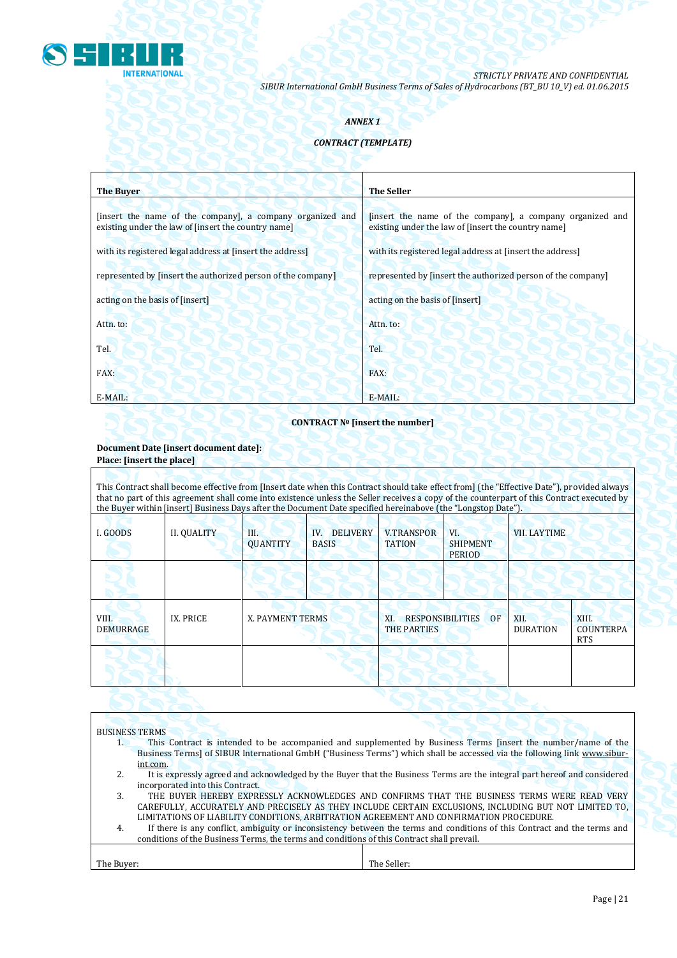

### *ANNEX 1*

### *CONTRACT (TEMPLATE)*

| <b>The Buver</b>                                                                                                 | <b>The Seller</b>                                                                                                |
|------------------------------------------------------------------------------------------------------------------|------------------------------------------------------------------------------------------------------------------|
| [insert the name of the company], a company organized and<br>existing under the law of [insert the country name] | [insert the name of the company], a company organized and<br>existing under the law of [insert the country name] |
| with its registered legal address at finsert the address                                                         | with its registered legal address at finsert the address                                                         |
| represented by [insert the authorized person of the company]                                                     | represented by [insert the authorized person of the company]                                                     |
| acting on the basis of [insert]                                                                                  | acting on the basis of [insert]                                                                                  |
| Attn. to:                                                                                                        | Attn. to:                                                                                                        |
| Tel.                                                                                                             | Tel.                                                                                                             |
| FAX:                                                                                                             | FAX:                                                                                                             |
| E-MAIL:                                                                                                          | E-MAIL:                                                                                                          |

### **CONTRACT № [insert the number]**

### **Document Date [insert document date]: Place: [insert the place]**

 $\mathsf{r}$ 

| This Contract shall become effective from [Insert date when this Contract should take effect from] (the "Effective Date"), provided always<br>that no part of this agreement shall come into existence unless the Seller receives a copy of the counterpart of this Contract executed by<br>the Buyer within [insert] Business Days after the Document Date specified hereinabove (the "Longstop Date"). |                    |                       |                                        |                                                            |                                         |                         |                                         |
|----------------------------------------------------------------------------------------------------------------------------------------------------------------------------------------------------------------------------------------------------------------------------------------------------------------------------------------------------------------------------------------------------------|--------------------|-----------------------|----------------------------------------|------------------------------------------------------------|-----------------------------------------|-------------------------|-----------------------------------------|
| I. GOODS                                                                                                                                                                                                                                                                                                                                                                                                 | <b>II. QUALITY</b> | Ш.<br><b>QUANTITY</b> | <b>DELIVERY</b><br>IV.<br><b>BASIS</b> | <b>V.TRANSPOR</b><br><b>TATION</b>                         | VI.<br><b>SHIPMENT</b><br><b>PERIOD</b> | <b>VII. LAYTIME</b>     |                                         |
|                                                                                                                                                                                                                                                                                                                                                                                                          |                    |                       |                                        |                                                            |                                         |                         |                                         |
| VIII.<br><b>DEMURRAGE</b>                                                                                                                                                                                                                                                                                                                                                                                | IX. PRICE          | X. PAYMENT TERMS      |                                        | <b>RESPONSIBILITIES</b><br>OF<br>XI.<br><b>THE PARTIES</b> |                                         | XII.<br><b>DURATION</b> | XIII.<br><b>COUNTERPA</b><br><b>RTS</b> |
|                                                                                                                                                                                                                                                                                                                                                                                                          |                    |                       |                                        |                                                            |                                         |                         |                                         |
|                                                                                                                                                                                                                                                                                                                                                                                                          |                    |                       |                                        |                                                            |                                         |                         |                                         |

|                                                                                                                          | <b>BUSINESS TERMS</b>                                                                                                    |                                                                                                                          |  |  |  |  |
|--------------------------------------------------------------------------------------------------------------------------|--------------------------------------------------------------------------------------------------------------------------|--------------------------------------------------------------------------------------------------------------------------|--|--|--|--|
|                                                                                                                          |                                                                                                                          | This Contract is intended to be accompanied and supplemented by Business Terms [insert the number/name of the            |  |  |  |  |
| Business Terms] of SIBUR International GmbH ("Business Terms") which shall be accessed via the following link www.sibur- |                                                                                                                          |                                                                                                                          |  |  |  |  |
|                                                                                                                          | int.com.                                                                                                                 |                                                                                                                          |  |  |  |  |
| 2.                                                                                                                       |                                                                                                                          | It is expressly agreed and acknowledged by the Buyer that the Business Terms are the integral part hereof and considered |  |  |  |  |
|                                                                                                                          | incorporated into this Contract.                                                                                         |                                                                                                                          |  |  |  |  |
| 3.                                                                                                                       |                                                                                                                          | THE BUYER HEREBY EXPRESSLY ACKNOWLEDGES AND CONFIRMS THAT THE BUSINESS TERMS WERE READ VERY                              |  |  |  |  |
|                                                                                                                          |                                                                                                                          | CAREFULLY, ACCURATELY AND PRECISELY AS THEY INCLUDE CERTAIN EXCLUSIONS, INCLUDING BUT NOT LIMITED TO,                    |  |  |  |  |
|                                                                                                                          | LIMITATIONS OF LIABILITY CONDITIONS, ARBITRATION AGREEMENT AND CONFIRMATION PROCEDURE.                                   |                                                                                                                          |  |  |  |  |
| 4.                                                                                                                       | If there is any conflict, ambiguity or inconsistency between the terms and conditions of this Contract and the terms and |                                                                                                                          |  |  |  |  |
| conditions of the Business Terms, the terms and conditions of this Contract shall prevail.                               |                                                                                                                          |                                                                                                                          |  |  |  |  |
|                                                                                                                          |                                                                                                                          |                                                                                                                          |  |  |  |  |
| The Buver:                                                                                                               |                                                                                                                          | The Seller:                                                                                                              |  |  |  |  |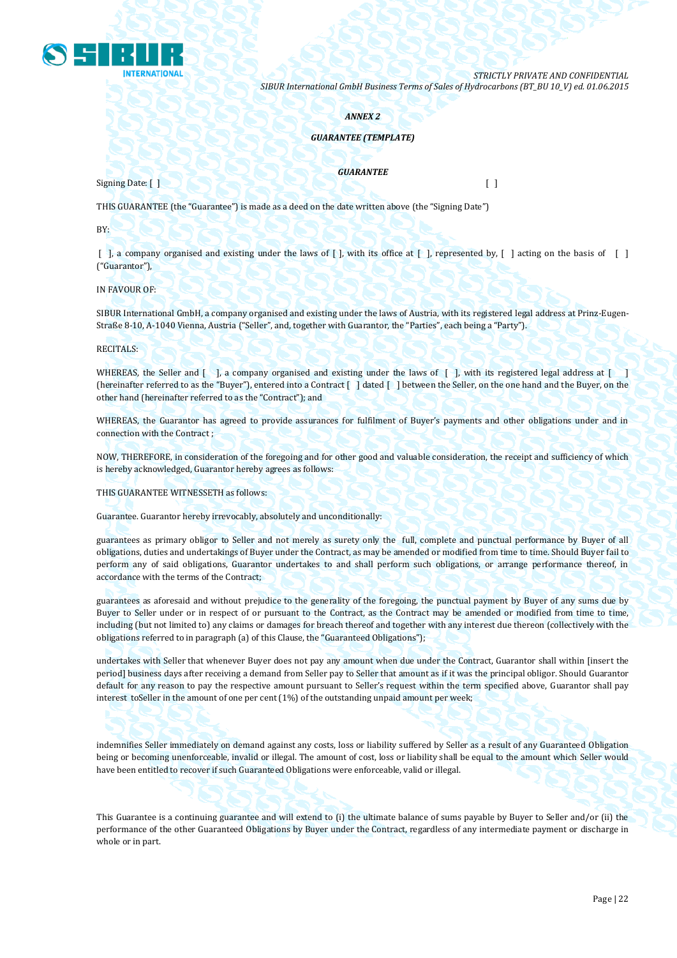

#### *ANNEX 2*

#### *GUARANTEE (TEMPLATE)*

#### *GUARANTEE*

 $Signing$  Date: [ ]  $\bigcup_{n=1}^{\infty}$   $\bigcup_{n=1}^{\infty}$   $\bigcup_{n=1}^{\infty}$   $\bigcup_{n=1}^{\infty}$   $\bigcup_{n=1}^{\infty}$   $\bigcup_{n=1}^{\infty}$   $\bigcup_{n=1}^{\infty}$   $\bigcup_{n=1}^{\infty}$   $\bigcup_{n=1}^{\infty}$   $\bigcup_{n=1}^{\infty}$   $\bigcup_{n=1}^{\infty}$   $\bigcup_{n=1}^{\infty}$   $\bigcup_{n=1}^{\infty$ 

THIS GUARANTEE (the "Guarantee") is made as a deed on the date written above (the "Signing Date")

BY:

[ ], a company organised and existing under the laws of [ ], with its office at [ ], represented by, [ ] acting on the basis of [ ] ("Guarantor"),

IN FAVOUR OF:

SIBUR International GmbH, a company organised and existing under the laws of Austria, with its registered legal address at Prinz-Eugen-Straße 8-10, A-1040 Vienna, Austria ("Seller", and, together with Guarantor, the "Parties", each being a "Party").

RECITALS:

WHEREAS, the Seller and [ ], a company organised and existing under the laws of [ ], with its registered legal address at [ ] (hereinafter referred to as the "Buyer"), entered into a Contract [ ] dated [ ] between the Seller, on the one hand and the Buyer, on the other hand (hereinafter referred to as the "Contract"); and

WHEREAS, the Guarantor has agreed to provide assurances for fulfilment of Buyer's payments and other obligations under and in connection with the Contract ;

NOW, THEREFORE, in consideration of the foregoing and for other good and valuable consideration, the receipt and sufficiency of which is hereby acknowledged, Guarantor hereby agrees as follows:

THIS GUARANTEE WITNESSETH as follows:

Guarantee. Guarantor hereby irrevocably, absolutely and unconditionally:

guarantees as primary obligor to Seller and not merely as surety only the full, complete and punctual performance by Buyer of all obligations, duties and undertakings of Buyer under the Contract, as may be amended or modified from time to time. Should Buyer fail to perform any of said obligations, Guarantor undertakes to and shall perform such obligations, or arrange performance thereof, in accordance with the terms of the Contract;

guarantees as aforesaid and without prejudice to the generality of the foregoing, the punctual payment by Buyer of any sums due by Buyer to Seller under or in respect of or pursuant to the Contract, as the Contract may be amended or modified from time to time, including (but not limited to) any claims or damages for breach thereof and together with any interest due thereon (collectively with the obligations referred to in paragraph (a) of this Clause, the "Guaranteed Obligations");

undertakes with Seller that whenever Buyer does not pay any amount when due under the Contract, Guarantor shall within [insert the period] business days after receiving a demand from Seller pay to Seller that amount as if it was the principal obligor. Should Guarantor default for any reason to pay the respective amount pursuant to Seller's request within the term specified above, Guarantor shall pay interest toSeller in the amount of one per cent (1%) of the outstanding unpaid amount per week;

indemnifies Seller immediately on demand against any costs, loss or liability suffered by Seller as a result of any Guaranteed Obligation being or becoming unenforceable, invalid or illegal. The amount of cost, loss or liability shall be equal to the amount which Seller would have been entitled to recover if such Guaranteed Obligations were enforceable, valid or illegal.

This Guarantee is a continuing guarantee and will extend to (i) the ultimate balance of sums payable by Buyer to Seller and/or (ii) the performance of the other Guaranteed Obligations by Buyer under the Contract, regardless of any intermediate payment or discharge in whole or in part.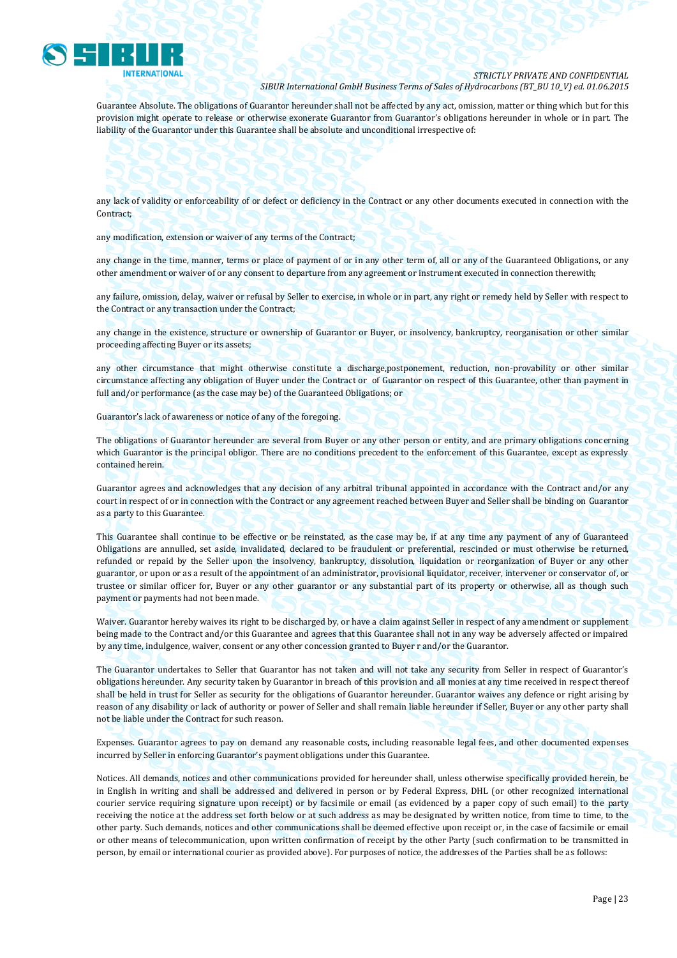

Guarantee Absolute. The obligations of Guarantor hereunder shall not be affected by any act, omission, matter or thing which but for this provision might operate to release or otherwise exonerate Guarantor from Guarantor's obligations hereunder in whole or in part. The liability of the Guarantor under this Guarantee shall be absolute and unconditional irrespective of:

#### any lack of validity or enforceability of or defect or deficiency in the Contract or any other documents executed in connection with the Contract;

any modification, extension or waiver of any terms of the Contract;

any change in the time, manner, terms or place of payment of or in any other term of, all or any of the Guaranteed Obligations, or any other amendment or waiver of or any consent to departure from any agreement or instrument executed in connection therewith;

any failure, omission, delay, waiver or refusal by Seller to exercise, in whole or in part, any right or remedy held by Seller with respect to the Contract or any transaction under the Contract;

any change in the existence, structure or ownership of Guarantor or Buyer, or insolvency, bankruptcy, reorganisation or other similar proceeding affecting Buyer or its assets;

any other circumstance that might otherwise constitute a discharge,postponement, reduction, non-provability or other similar circumstance affecting any obligation of Buyer under the Contract or of Guarantor on respect of this Guarantee, other than payment in full and/or performance (as the case may be) of the Guaranteed Obligations; or

Guarantor's lack of awareness or notice of any of the foregoing.

The obligations of Guarantor hereunder are several from Buyer or any other person or entity, and are primary obligations concerning which Guarantor is the principal obligor. There are no conditions precedent to the enforcement of this Guarantee, except as expressly contained herein.

Guarantor agrees and acknowledges that any decision of any arbitral tribunal appointed in accordance with the Contract and/or any court in respect of or in connection with the Contract or any agreement reached between Buyer and Seller shall be binding on Guarantor as a party to this Guarantee.

This Guarantee shall continue to be effective or be reinstated, as the case may be, if at any time any payment of any of Guaranteed Obligations are annulled, set aside, invalidated, declared to be fraudulent or preferential, rescinded or must otherwise be returned, refunded or repaid by the Seller upon the insolvency, bankruptcy, dissolution, liquidation or reorganization of Buyer or any other guarantor, or upon or as a result of the appointment of an administrator, provisional liquidator, receiver, intervener or conservator of, or trustee or similar officer for, Buyer or any other guarantor or any substantial part of its property or otherwise, all as though such payment or payments had not been made.

Waiver. Guarantor hereby waives its right to be discharged by, or have a claim against Seller in respect of any amendment or supplement being made to the Contract and/or this Guarantee and agrees that this Guarantee shall not in any way be adversely affected or impaired by any time, indulgence, waiver, consent or any other concession granted to Buyer r and/or the Guarantor.

The Guarantor undertakes to Seller that Guarantor has not taken and will not take any security from Seller in respect of Guarantor's obligations hereunder. Any security taken by Guarantor in breach of this provision and all monies at any time received in respect thereof shall be held in trust for Seller as security for the obligations of Guarantor hereunder. Guarantor waives any defence or right arising by reason of any disability or lack of authority or power of Seller and shall remain liable hereunder if Seller, Buyer or any other party shall not be liable under the Contract for such reason.

Expenses. Guarantor agrees to pay on demand any reasonable costs, including reasonable legal fees, and other documented expenses incurred by Seller in enforcing Guarantor's payment obligations under this Guarantee.

Notices. All demands, notices and other communications provided for hereunder shall, unless otherwise specifically provided herein, be in English in writing and shall be addressed and delivered in person or by Federal Express, DHL (or other recognized international courier service requiring signature upon receipt) or by facsimile or email (as evidenced by a paper copy of such email) to the party receiving the notice at the address set forth below or at such address as may be designated by written notice, from time to time, to the other party. Such demands, notices and other communications shall be deemed effective upon receipt or, in the case of facsimile or email or other means of telecommunication, upon written confirmation of receipt by the other Party (such confirmation to be transmitted in person, by email or international courier as provided above). For purposes of notice, the addresses of the Parties shall be as follows: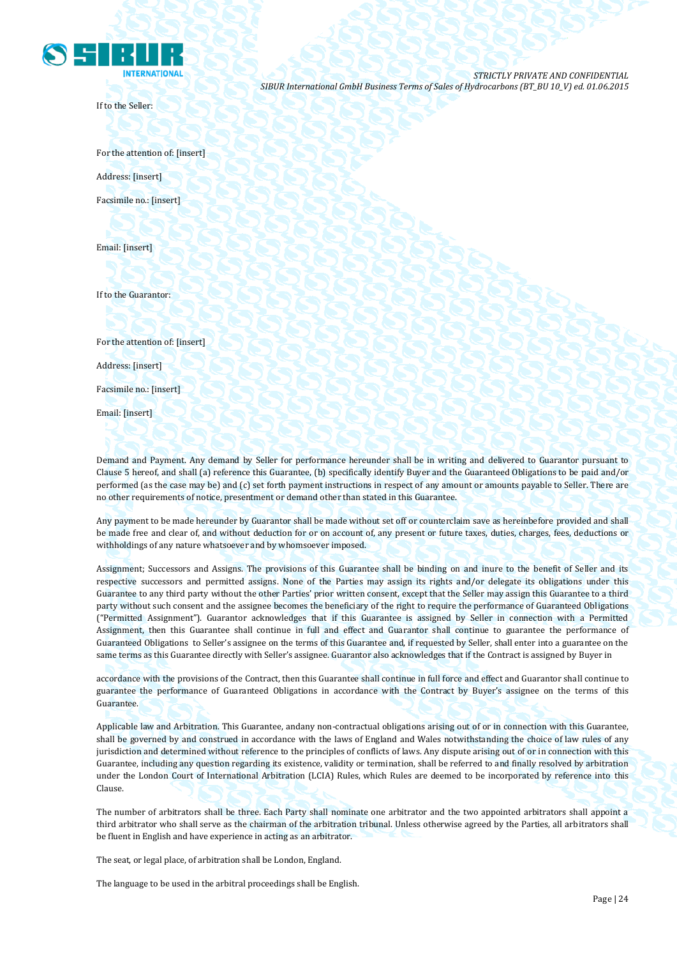

If to the Seller:

For the attention of: [insert] Address: [insert] Facsimile no.: [insert]

Email: [insert]

If to the Guarantor:

For the attention of: [insert]

Address: [insert]

Facsimile no.: [insert]

Email: [insert]

Demand and Payment. Any demand by Seller for performance hereunder shall be in writing and delivered to Guarantor pursuant to Clause 5 hereof, and shall (a) reference this Guarantee, (b) specifically identify Buyer and the Guaranteed Obligations to be paid and/or performed (as the case may be) and (c) set forth payment instructions in respect of any amount or amounts payable to Seller. There are no other requirements of notice, presentment or demand other than stated in this Guarantee.

Any payment to be made hereunder by Guarantor shall be made without set off or counterclaim save as hereinbefore provided and shall be made free and clear of, and without deduction for or on account of, any present or future taxes, duties, charges, fees, deductions or withholdings of any nature whatsoever and by whomsoever imposed.

Assignment; Successors and Assigns. The provisions of this Guarantee shall be binding on and inure to the benefit of Seller and its respective successors and permitted assigns. None of the Parties may assign its rights and/or delegate its obligations under this Guarantee to any third party without the other Parties' prior written consent, except that the Seller may assign this Guarantee to a third party without such consent and the assignee becomes the beneficiary of the right to require the performance of Guaranteed Obligations ("Permitted Assignment"). Guarantor acknowledges that if this Guarantee is assigned by Seller in connection with a Permitted Assignment, then this Guarantee shall continue in full and effect and Guarantor shall continue to guarantee the performance of Guaranteed Obligations to Seller's assignee on the terms of this Guarantee and, if requested by Seller, shall enter into a guarantee on the same terms as this Guarantee directly with Seller's assignee. Guarantor also acknowledges that if the Contract is assigned by Buyer in

accordance with the provisions of the Contract, then this Guarantee shall continue in full force and effect and Guarantor shall continue to guarantee the performance of Guaranteed Obligations in accordance with the Contract by Buyer's assignee on the terms of this Guarantee.

Applicable law and Arbitration. This Guarantee, andany non-contractual obligations arising out of or in connection with this Guarantee, shall be governed by and construed in accordance with the laws of England and Wales notwithstanding the choice of law rules of any jurisdiction and determined without reference to the principles of conflicts of laws. Any dispute arising out of or in connection with this Guarantee, including any question regarding its existence, validity or termination, shall be referred to and finally resolved by arbitration under the London Court of International Arbitration (LCIA) Rules, which Rules are deemed to be incorporated by reference into this Clause.

The number of arbitrators shall be three. Each Party shall nominate one arbitrator and the two appointed arbitrators shall appoint a third arbitrator who shall serve as the chairman of the arbitration tribunal. Unless otherwise agreed by the Parties, all arbitrators shall be fluent in English and have experience in acting as an arbitrator.

The seat, or legal place, of arbitration shall be London, England.

The language to be used in the arbitral proceedings shall be English.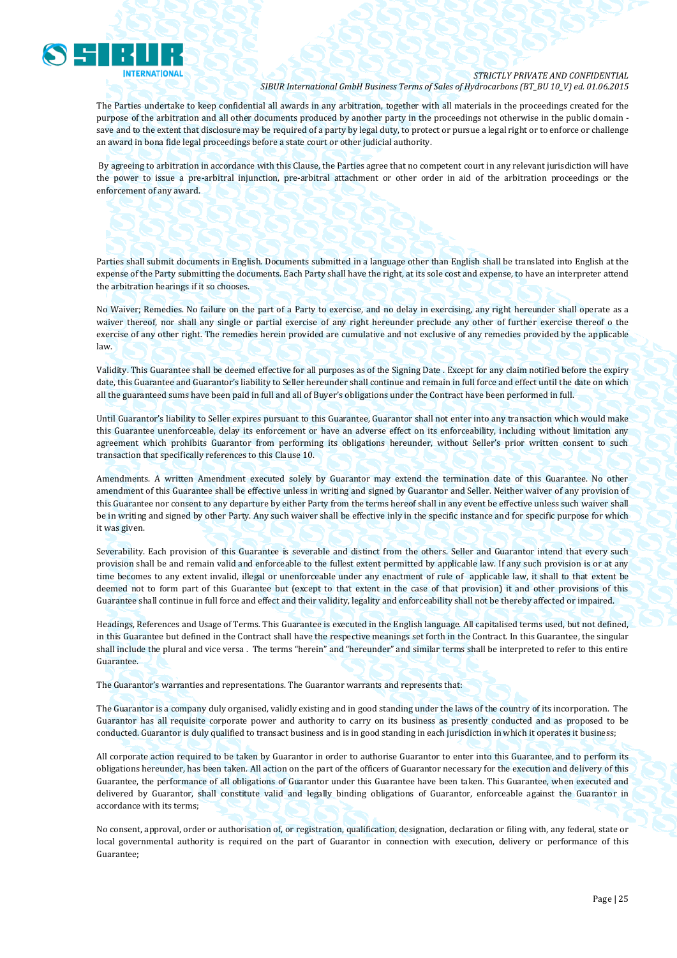

The Parties undertake to keep confidential all awards in any arbitration, together with all materials in the proceedings created for the purpose of the arbitration and all other documents produced by another party in the proceedings not otherwise in the public domain save and to the extent that disclosure may be required of a party by legal duty, to protect or pursue a legal right or to enforce or challenge an award in bona fide legal proceedings before a state court or other judicial authority.

By agreeing to arbitration in accordance with this Clause, the Parties agree that no competent court in any relevant jurisdiction will have the power to issue a pre-arbitral injunction, pre-arbitral attachment or other order in aid of the arbitration proceedings or the enforcement of any award.

Parties shall submit documents in English. Documents submitted in a language other than English shall be translated into English at the expense of the Party submitting the documents. Each Party shall have the right, at its sole cost and expense, to have an interpreter attend the arbitration hearings if it so chooses.

No Waiver; Remedies. No failure on the part of a Party to exercise, and no delay in exercising, any right hereunder shall operate as a waiver thereof, nor shall any single or partial exercise of any right hereunder preclude any other of further exercise thereof o the exercise of any other right. The remedies herein provided are cumulative and not exclusive of any remedies provided by the applicable law.

Validity. This Guarantee shall be deemed effective for all purposes as of the Signing Date . Except for any claim notified before the expiry date, this Guarantee and Guarantor's liability to Seller hereunder shall continue and remain in full force and effect until the date on which all the guaranteed sums have been paid in full and all of Buyer's obligations under the Contract have been performed in full.

Until Guarantor's liability to Seller expires pursuant to this Guarantee, Guarantor shall not enter into any transaction which would make this Guarantee unenforceable, delay its enforcement or have an adverse effect on its enforceability, including without limitation any agreement which prohibits Guarantor from performing its obligations hereunder, without Seller's prior written consent to such transaction that specifically references to this Clause 10.

Amendments. A written Amendment executed solely by Guarantor may extend the termination date of this Guarantee. No other amendment of this Guarantee shall be effective unless in writing and signed by Guarantor and Seller. Neither waiver of any provision of this Guarantee nor consent to any departure by either Party from the terms hereof shall in any event be effective unless such waiver shall be in writing and signed by other Party. Any such waiver shall be effective inly in the specific instance and for specific purpose for which it was given.

Severability. Each provision of this Guarantee is severable and distinct from the others. Seller and Guarantor intend that every such provision shall be and remain valid and enforceable to the fullest extent permitted by applicable law. If any such provision is or at any time becomes to any extent invalid, illegal or unenforceable under any enactment of rule of applicable law, it shall to that extent be deemed not to form part of this Guarantee but (except to that extent in the case of that provision) it and other provisions of this Guarantee shall continue in full force and effect and their validity, legality and enforceability shall not be thereby affected or impaired.

Headings, References and Usage of Terms. This Guarantee is executed in the English language. All capitalised terms used, but not defined, in this Guarantee but defined in the Contract shall have the respective meanings set forth in the Contract. In this Guarantee, the singular shall include the plural and vice versa . The terms "herein" and "hereunder" and similar terms shall be interpreted to refer to this entire Guarantee.

The Guarantor's warranties and representations. The Guarantor warrants and represents that:

The Guarantor is a company duly organised, validly existing and in good standing under the laws of the country of its incorporation. The Guarantor has all requisite corporate power and authority to carry on its business as presently conducted and as proposed to be conducted. Guarantor is duly qualified to transact business and is in good standing in each jurisdiction in which it operates it business;

All corporate action required to be taken by Guarantor in order to authorise Guarantor to enter into this Guarantee, and to perform its obligations hereunder, has been taken. All action on the part of the officers of Guarantor necessary for the execution and delivery of this Guarantee, the performance of all obligations of Guarantor under this Guarantee have been taken. This Guarantee, when executed and delivered by Guarantor, shall constitute valid and legally binding obligations of Guarantor, enforceable against the Guarantor in accordance with its terms;

No consent, approval, order or authorisation of, or registration, qualification, designation, declaration or filing with, any federal, state or local governmental authority is required on the part of Guarantor in connection with execution, delivery or performance of this Guarantee;